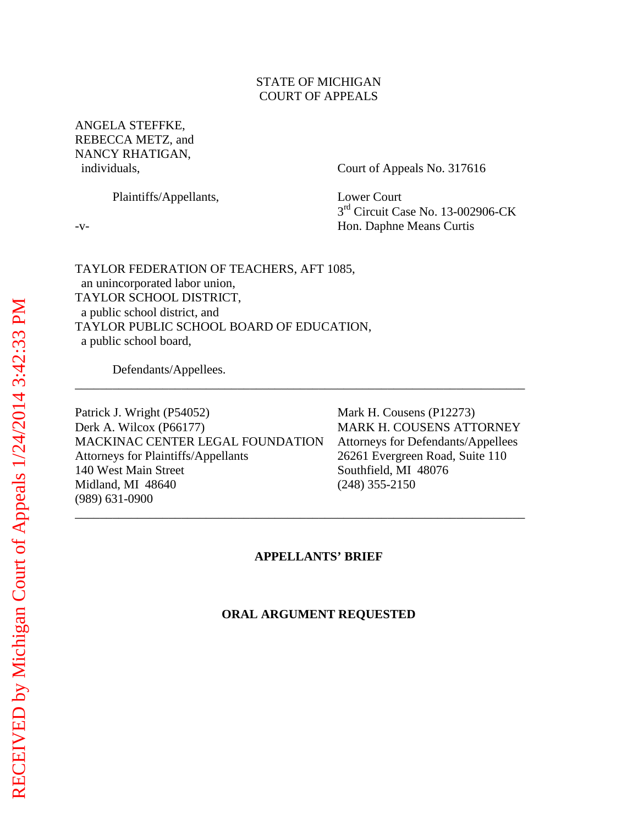### STATE OF MICHIGAN COURT OF APPEALS

ANGELA STEFFKE, REBECCA METZ, and NANCY RHATIGAN,

individuals, Court of Appeals No. 317616

Plaintiffs/Appellants, Lower Court

3<sup>rd</sup> Circuit Case No. 13-002906-CK -v- Hon. Daphne Means Curtis

TAYLOR FEDERATION OF TEACHERS, AFT 1085, an unincorporated labor union, TAYLOR SCHOOL DISTRICT, a public school district, and TAYLOR PUBLIC SCHOOL BOARD OF EDUCATION, a public school board,

Defendants/Appellees.

Patrick J. Wright (P54052) Mark H. Cousens (P12273) Derk A. Wilcox (P66177) MARK H. COUSENS ATTORNEY MACKINAC CENTER LEGAL FOUNDATION Attorneys for Defendants/Appellees Attorneys for Plaintiffs/Appellants 26261 Evergreen Road, Suite 110 140 West Main Street Southfield, MI 48076 Midland, MI 48640 (248) 355-2150 (989) 631-0900

#### **APPELLANTS' BRIEF**

\_\_\_\_\_\_\_\_\_\_\_\_\_\_\_\_\_\_\_\_\_\_\_\_\_\_\_\_\_\_\_\_\_\_\_\_\_\_\_\_\_\_\_\_\_\_\_\_\_\_\_\_\_\_\_\_\_\_\_\_\_\_\_\_\_\_\_\_\_\_\_\_

\_\_\_\_\_\_\_\_\_\_\_\_\_\_\_\_\_\_\_\_\_\_\_\_\_\_\_\_\_\_\_\_\_\_\_\_\_\_\_\_\_\_\_\_\_\_\_\_\_\_\_\_\_\_\_\_\_\_\_\_\_\_\_\_\_\_\_\_\_\_\_\_

#### **ORAL ARGUMENT REQUESTED**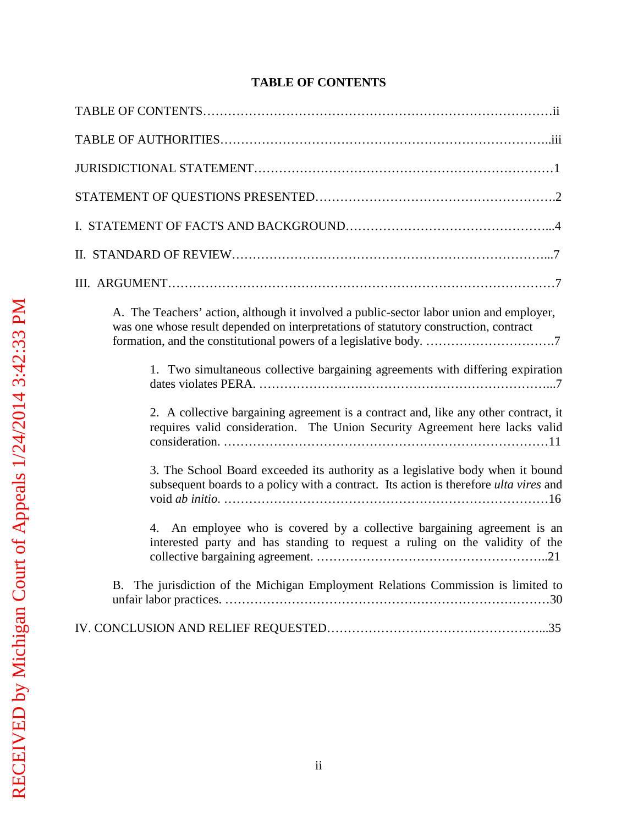## **TABLE OF CONTENTS**

| A. The Teachers' action, although it involved a public-sector labor union and employer,<br>was one whose result depended on interpretations of statutory construction, contract |
|---------------------------------------------------------------------------------------------------------------------------------------------------------------------------------|
| 1. Two simultaneous collective bargaining agreements with differing expiration                                                                                                  |
| 2. A collective bargaining agreement is a contract and, like any other contract, it<br>requires valid consideration. The Union Security Agreement here lacks valid              |
| 3. The School Board exceeded its authority as a legislative body when it bound<br>subsequent boards to a policy with a contract. Its action is therefore ulta vires and         |
| 4. An employee who is covered by a collective bargaining agreement is an<br>interested party and has standing to request a ruling on the validity of the                        |
| B. The jurisdiction of the Michigan Employment Relations Commission is limited to                                                                                               |
|                                                                                                                                                                                 |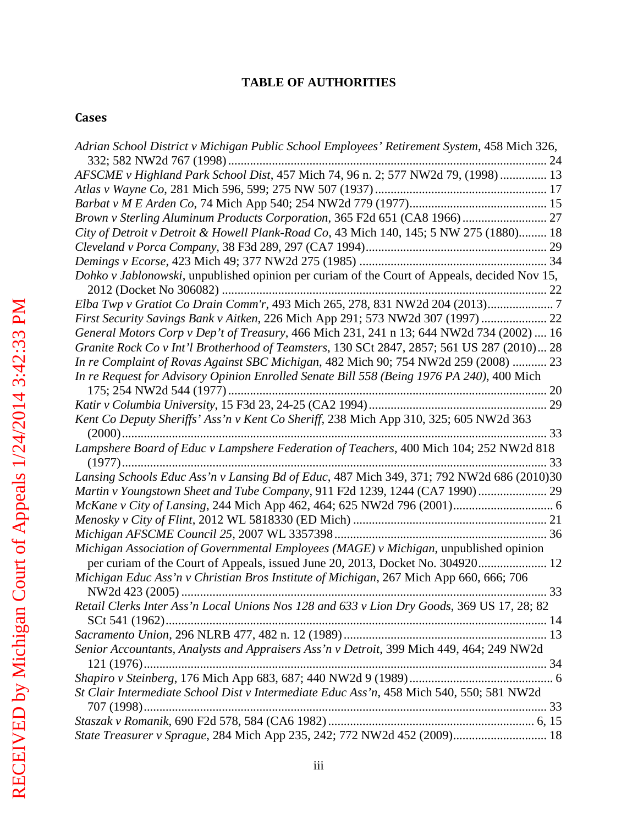## **TABLE OF AUTHORITIES**

## **Cases**

| Adrian School District v Michigan Public School Employees' Retirement System, 458 Mich 326,  |  |
|----------------------------------------------------------------------------------------------|--|
| AFSCME v Highland Park School Dist, 457 Mich 74, 96 n. 2; 577 NW2d 79, (1998)  13            |  |
|                                                                                              |  |
|                                                                                              |  |
| Brown v Sterling Aluminum Products Corporation, 365 F2d 651 (CA8 1966) 27                    |  |
| City of Detroit v Detroit & Howell Plank-Road Co, 43 Mich 140, 145; 5 NW 275 (1880) 18       |  |
|                                                                                              |  |
|                                                                                              |  |
| Dohko v Jablonowski, unpublished opinion per curiam of the Court of Appeals, decided Nov 15, |  |
|                                                                                              |  |
|                                                                                              |  |
| First Security Savings Bank v Aitken, 226 Mich App 291; 573 NW2d 307 (1997)  22              |  |
| General Motors Corp v Dep't of Treasury, 466 Mich 231, 241 n 13; 644 NW2d 734 (2002)  16     |  |
| Granite Rock Co v Int'l Brotherhood of Teamsters, 130 SCt 2847, 2857; 561 US 287 (2010) 28   |  |
| In re Complaint of Rovas Against SBC Michigan, 482 Mich 90; 754 NW2d 259 (2008)  23          |  |
| In re Request for Advisory Opinion Enrolled Senate Bill 558 (Being 1976 PA 240), 400 Mich    |  |
|                                                                                              |  |
|                                                                                              |  |
| Kent Co Deputy Sheriffs' Ass'n v Kent Co Sheriff, 238 Mich App 310, 325; 605 NW2d 363        |  |
| Lampshere Board of Educ v Lampshere Federation of Teachers, 400 Mich 104; 252 NW2d 818       |  |
|                                                                                              |  |
| Lansing Schools Educ Ass'n v Lansing Bd of Educ, 487 Mich 349, 371; 792 NW2d 686 (2010)30    |  |
| Martin v Youngstown Sheet and Tube Company, 911 F2d 1239, 1244 (CA7 1990)  29                |  |
|                                                                                              |  |
|                                                                                              |  |
|                                                                                              |  |
| Michigan Association of Governmental Employees (MAGE) v Michigan, unpublished opinion        |  |
| per curiam of the Court of Appeals, issued June 20, 2013, Docket No. 304920 12               |  |
| Michigan Educ Ass'n v Christian Bros Institute of Michigan, 267 Mich App 660, 666; 706       |  |
|                                                                                              |  |
| Retail Clerks Inter Ass'n Local Unions Nos 128 and 633 v Lion Dry Goods, 369 US 17, 28; 82   |  |
|                                                                                              |  |
| Senior Accountants, Analysts and Appraisers Ass'n v Detroit, 399 Mich 449, 464; 249 NW2d     |  |
|                                                                                              |  |
|                                                                                              |  |
| St Clair Intermediate School Dist v Intermediate Educ Ass'n, 458 Mich 540, 550; 581 NW2d     |  |
|                                                                                              |  |
|                                                                                              |  |
| State Treasurer v Sprague, 284 Mich App 235, 242; 772 NW2d 452 (2009) 18                     |  |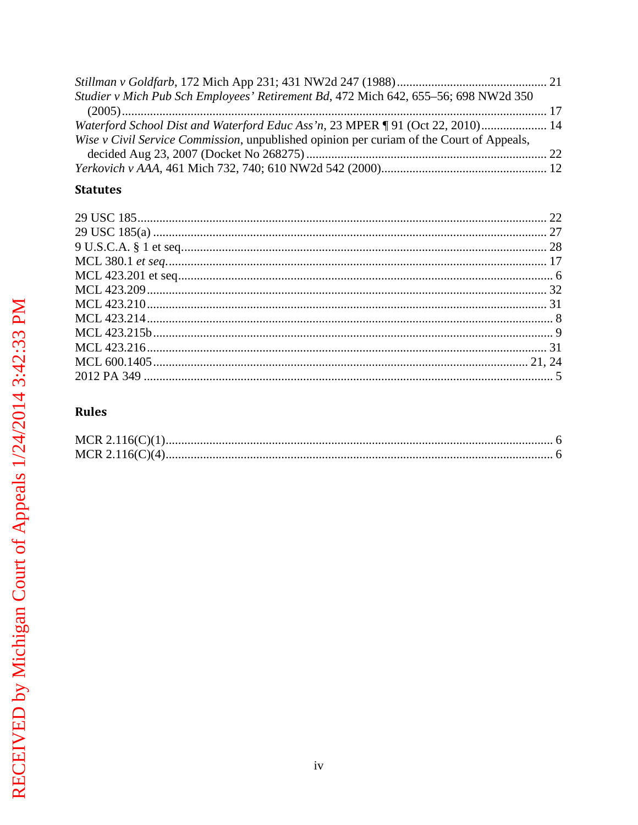| Waterford School Dist and Waterford Educ Ass'n, 23 MPER ¶ 91 (Oct 22, 2010) 14 |
|--------------------------------------------------------------------------------|
|                                                                                |
|                                                                                |
|                                                                                |
|                                                                                |

## **Statutes**

## Rules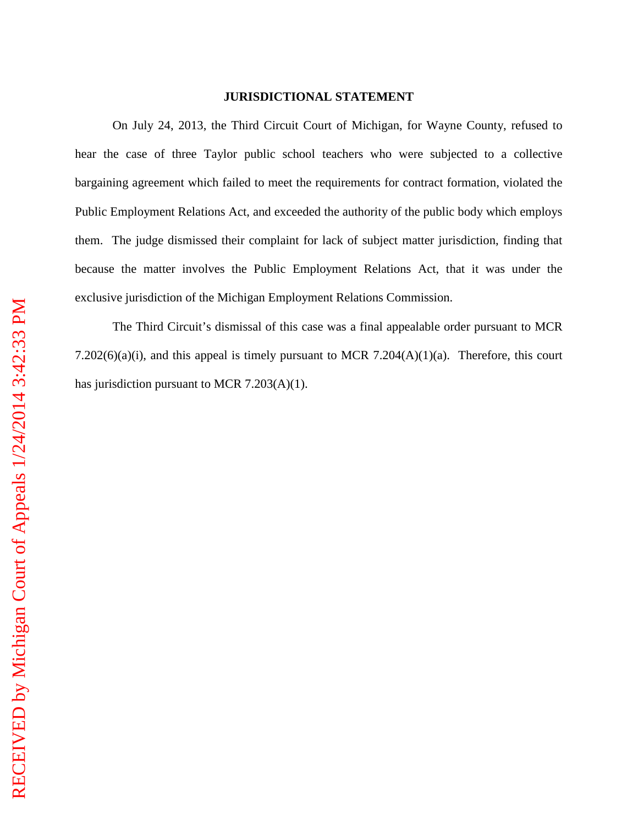#### **JURISDICTIONAL STATEMENT**

On July 24, 2013, the Third Circuit Court of Michigan, for Wayne County, refused to hear the case of three Taylor public school teachers who were subjected to a collective bargaining agreement which failed to meet the requirements for contract formation, violated the Public Employment Relations Act, and exceeded the authority of the public body which employs them. The judge dismissed their complaint for lack of subject matter jurisdiction, finding that because the matter involves the Public Employment Relations Act, that it was under the exclusive jurisdiction of the Michigan Employment Relations Commission.

The Third Circuit's dismissal of this case was a final appealable order pursuant to MCR 7.202 $(6)(a)(i)$ , and this appeal is timely pursuant to MCR 7.204 $(A)(1)(a)$ . Therefore, this court has jurisdiction pursuant to MCR 7.203(A)(1).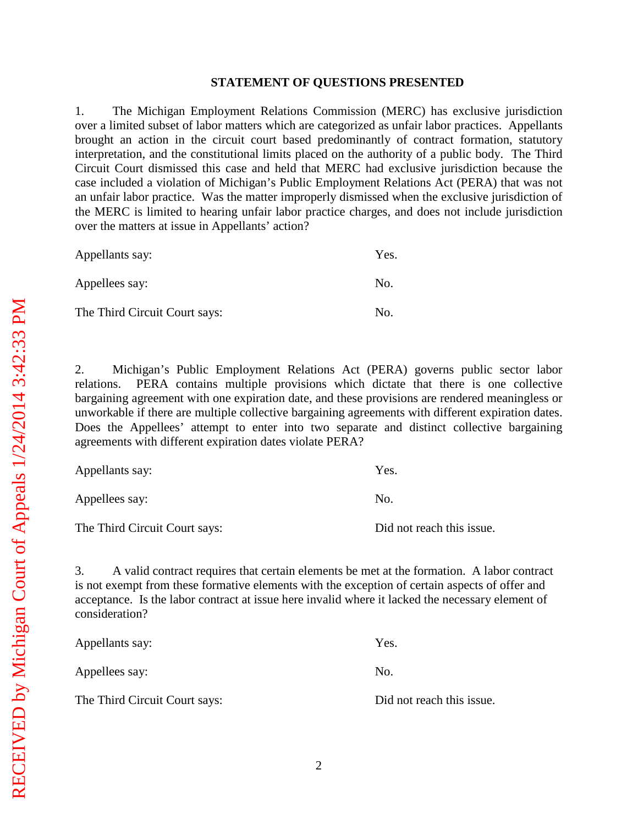#### **STATEMENT OF QUESTIONS PRESENTED**

1. The Michigan Employment Relations Commission (MERC) has exclusive jurisdiction over a limited subset of labor matters which are categorized as unfair labor practices. Appellants brought an action in the circuit court based predominantly of contract formation, statutory interpretation, and the constitutional limits placed on the authority of a public body. The Third Circuit Court dismissed this case and held that MERC had exclusive jurisdiction because the case included a violation of Michigan's Public Employment Relations Act (PERA) that was not an unfair labor practice. Was the matter improperly dismissed when the exclusive jurisdiction of the MERC is limited to hearing unfair labor practice charges, and does not include jurisdiction over the matters at issue in Appellants' action?

| Appellants say:               | Yes. |
|-------------------------------|------|
| Appellees say:                | No.  |
| The Third Circuit Court says: | No.  |

2. Michigan's Public Employment Relations Act (PERA) governs public sector labor relations. PERA contains multiple provisions which dictate that there is one collective bargaining agreement with one expiration date, and these provisions are rendered meaningless or unworkable if there are multiple collective bargaining agreements with different expiration dates. Does the Appellees' attempt to enter into two separate and distinct collective bargaining agreements with different expiration dates violate PERA?

| Appellants say:               | Yes.                      |
|-------------------------------|---------------------------|
| Appellees say:                | No.                       |
| The Third Circuit Court says: | Did not reach this issue. |

3. A valid contract requires that certain elements be met at the formation. A labor contract is not exempt from these formative elements with the exception of certain aspects of offer and acceptance. Is the labor contract at issue here invalid where it lacked the necessary element of consideration?

| Appellants say:               | Yes.                      |
|-------------------------------|---------------------------|
| Appellees say:                | No.                       |
| The Third Circuit Court says: | Did not reach this issue. |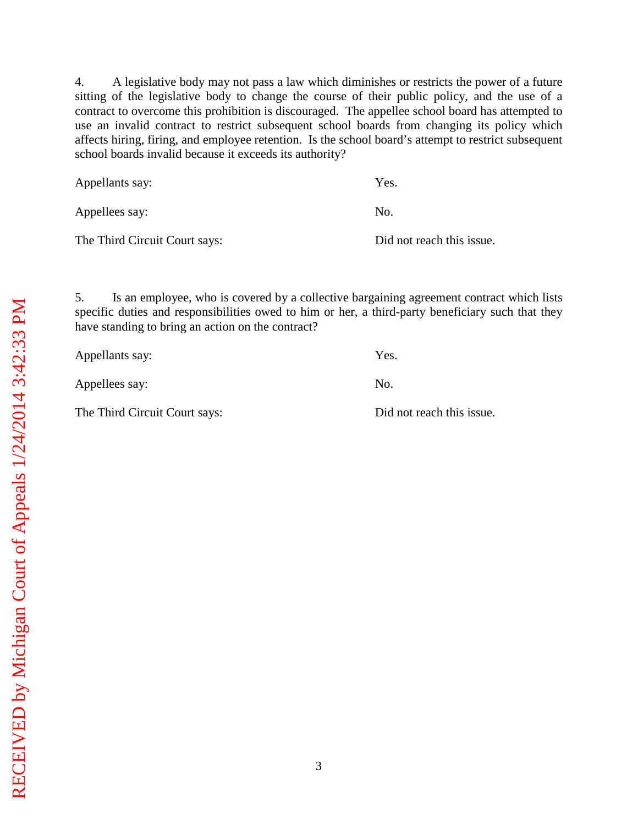4. A legislative body may not pass a law which diminishes or restricts the power of a future sitting of the legislative body to change the course of their public policy, and the use of a contract to overcome this prohibition is discouraged. The appellee school board has attempted to use an invalid contract to restrict subsequent school boards from changing its policy which affects hiring, firing, and employee retention. Is the school board's attempt to restrict subsequent school boards invalid because it exceeds its authority?

| Appellants say:               | Yes.                      |
|-------------------------------|---------------------------|
| Appellees say:                | No.                       |
| The Third Circuit Court says: | Did not reach this issue. |

5. Is an employee, who is covered by a collective bargaining agreement contract which lists specific duties and responsibilities owed to him or her, a third-party beneficiary such that they have standing to bring an action on the contract?

| Appellants say:               | Yes.                      |
|-------------------------------|---------------------------|
| Appellees say:                | No.                       |
| The Third Circuit Court says: | Did not reach this issue. |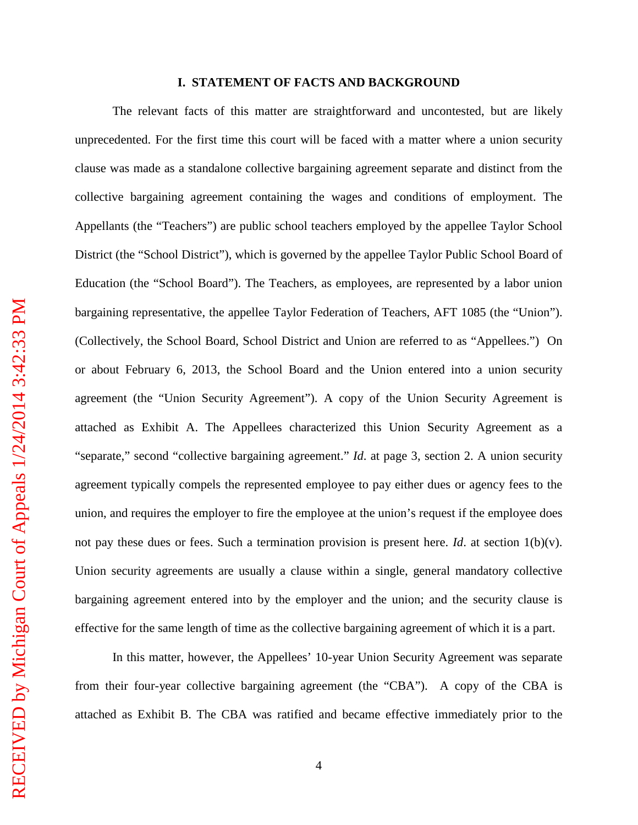### **I. STATEMENT OF FACTS AND BACKGROUND**

The relevant facts of this matter are straightforward and uncontested, but are likely unprecedented. For the first time this court will be faced with a matter where a union security clause was made as a standalone collective bargaining agreement separate and distinct from the collective bargaining agreement containing the wages and conditions of employment. The Appellants (the "Teachers") are public school teachers employed by the appellee Taylor School District (the "School District"), which is governed by the appellee Taylor Public School Board of Education (the "School Board"). The Teachers, as employees, are represented by a labor union bargaining representative, the appellee Taylor Federation of Teachers, AFT 1085 (the "Union"). (Collectively, the School Board, School District and Union are referred to as "Appellees.") On or about February 6, 2013, the School Board and the Union entered into a union security agreement (the "Union Security Agreement"). A copy of the Union Security Agreement is attached as Exhibit A. The Appellees characterized this Union Security Agreement as a "separate," second "collective bargaining agreement." *Id*. at page 3, section 2. A union security agreement typically compels the represented employee to pay either dues or agency fees to the union, and requires the employer to fire the employee at the union's request if the employee does not pay these dues or fees. Such a termination provision is present here. *Id*. at section 1(b)(v). Union security agreements are usually a clause within a single, general mandatory collective bargaining agreement entered into by the employer and the union; and the security clause is effective for the same length of time as the collective bargaining agreement of which it is a part.

In this matter, however, the Appellees' 10-year Union Security Agreement was separate from their four-year collective bargaining agreement (the "CBA"). A copy of the CBA is attached as Exhibit B. The CBA was ratified and became effective immediately prior to the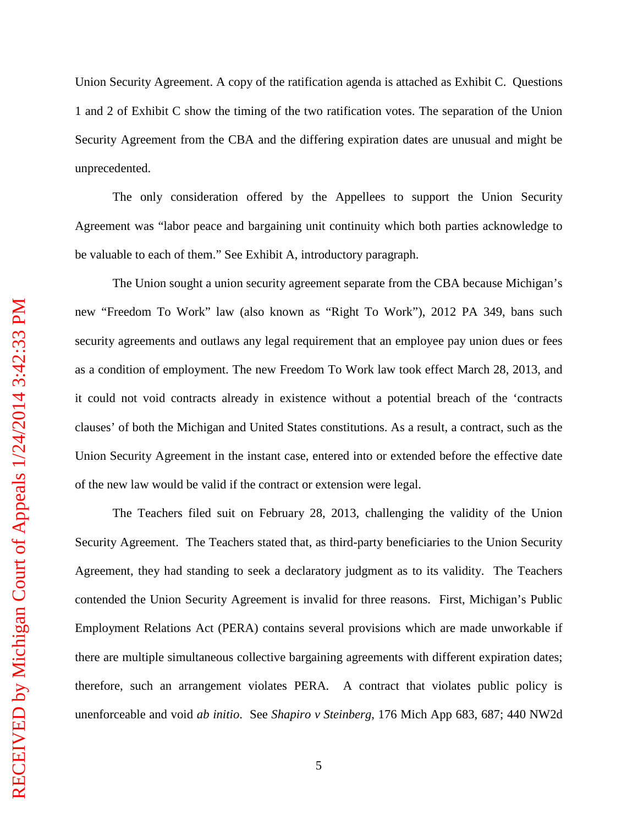Union Security Agreement. A copy of the ratification agenda is attached as Exhibit C. Questions 1 and 2 of Exhibit C show the timing of the two ratification votes. The separation of the Union Security Agreement from the CBA and the differing expiration dates are unusual and might be unprecedented.

The only consideration offered by the Appellees to support the Union Security Agreement was "labor peace and bargaining unit continuity which both parties acknowledge to be valuable to each of them." See Exhibit A, introductory paragraph.

The Union sought a union security agreement separate from the CBA because Michigan's new "Freedom To Work" law (also known as "Right To Work"), 2012 PA 349, bans such security agreements and outlaws any legal requirement that an employee pay union dues or fees as a condition of employment. The new Freedom To Work law took effect March 28, 2013, and it could not void contracts already in existence without a potential breach of the 'contracts clauses' of both the Michigan and United States constitutions. As a result, a contract, such as the Union Security Agreement in the instant case, entered into or extended before the effective date of the new law would be valid if the contract or extension were legal.

The Teachers filed suit on February 28, 2013, challenging the validity of the Union Security Agreement. The Teachers stated that, as third-party beneficiaries to the Union Security Agreement, they had standing to seek a declaratory judgment as to its validity. The Teachers contended the Union Security Agreement is invalid for three reasons. First, Michigan's Public Employment Relations Act (PERA) contains several provisions which are made unworkable if there are multiple simultaneous collective bargaining agreements with different expiration dates; therefore, such an arrangement violates PERA. A contract that violates public policy is unenforceable and void *ab initio*. See *Shapiro v Steinberg*, 176 Mich App 683, 687; 440 NW2d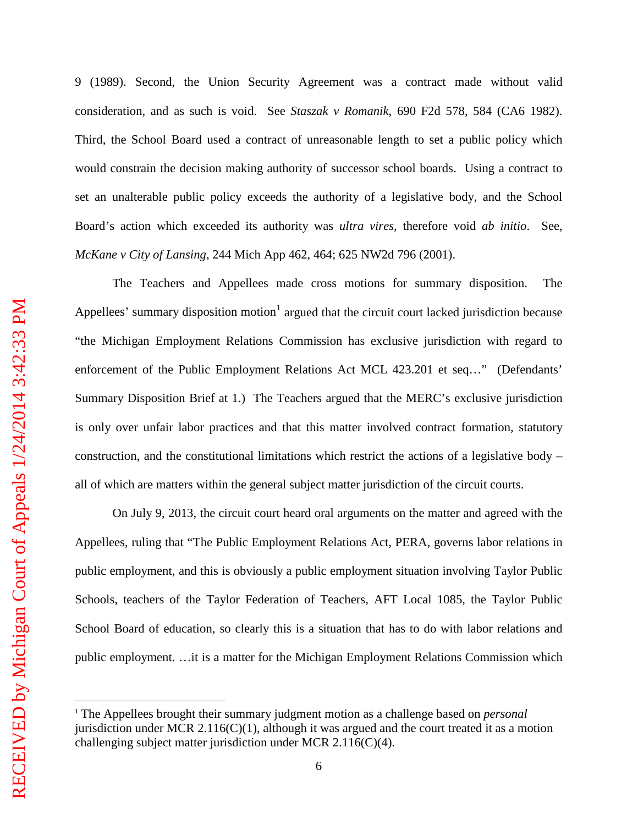9 (1989). Second, the Union Security Agreement was a contract made without valid consideration, and as such is void. See *Staszak v Romanik*, 690 F2d 578, 584 (CA6 1982). Third, the School Board used a contract of unreasonable length to set a public policy which would constrain the decision making authority of successor school boards. Using a contract to set an unalterable public policy exceeds the authority of a legislative body, and the School Board's action which exceeded its authority was *ultra vires*, therefore void *ab initio*. See, *McKane v City of Lansing*, 244 Mich App 462, 464; 625 NW2d 796 (2001).

The Teachers and Appellees made cross motions for summary disposition. The Appellees' summary disposition motion<sup>[1](#page-9-0)</sup> argued that the circuit court lacked jurisdiction because "the Michigan Employment Relations Commission has exclusive jurisdiction with regard to enforcement of the Public Employment Relations Act MCL 423.201 et seq…" (Defendants' Summary Disposition Brief at 1.) The Teachers argued that the MERC's exclusive jurisdiction is only over unfair labor practices and that this matter involved contract formation, statutory construction, and the constitutional limitations which restrict the actions of a legislative body – all of which are matters within the general subject matter jurisdiction of the circuit courts.

On July 9, 2013, the circuit court heard oral arguments on the matter and agreed with the Appellees, ruling that "The Public Employment Relations Act, PERA, governs labor relations in public employment, and this is obviously a public employment situation involving Taylor Public Schools, teachers of the Taylor Federation of Teachers, AFT Local 1085, the Taylor Public School Board of education, so clearly this is a situation that has to do with labor relations and public employment. …it is a matter for the Michigan Employment Relations Commission which

<span id="page-9-0"></span><sup>1</sup> The Appellees brought their summary judgment motion as a challenge based on *personal* jurisdiction under MCR 2.116(C)(1), although it was argued and the court treated it as a motion challenging subject matter jurisdiction under MCR 2.116(C)(4).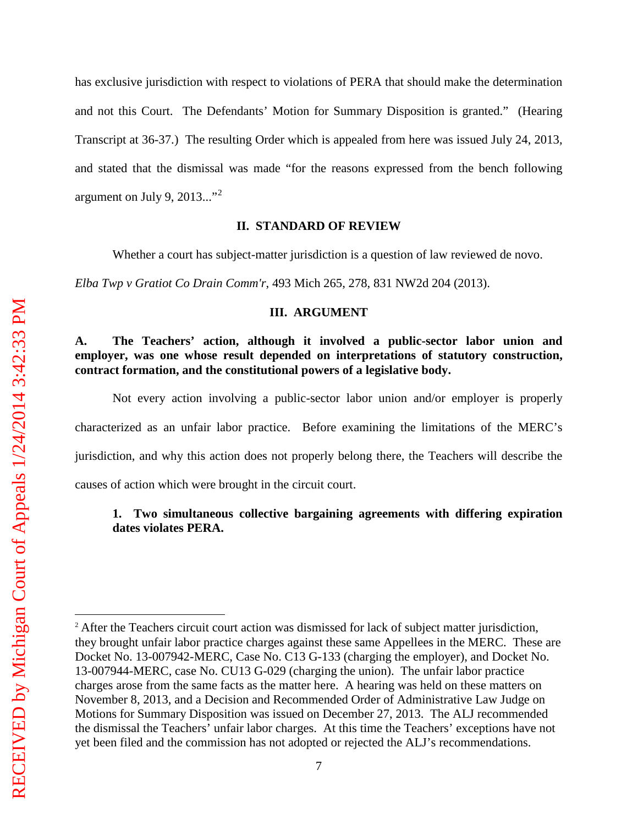has exclusive jurisdiction with respect to violations of PERA that should make the determination and not this Court. The Defendants' Motion for Summary Disposition is granted." (Hearing Transcript at 36-37.) The resulting Order which is appealed from here was issued July 24, 2013, and stated that the dismissal was made "for the reasons expressed from the bench following argument on July 9, [2](#page-10-0)013..."<sup>2</sup>

#### **II. STANDARD OF REVIEW**

Whether a court has subject-matter jurisdiction is a question of law reviewed de novo.

*Elba Twp v Gratiot Co Drain Comm'r*, 493 Mich 265, 278, 831 NW2d 204 (2013).

#### **III. ARGUMENT**

### **A. The Teachers' action, although it involved a public-sector labor union and employer, was one whose result depended on interpretations of statutory construction, contract formation, and the constitutional powers of a legislative body.**

Not every action involving a public-sector labor union and/or employer is properly characterized as an unfair labor practice. Before examining the limitations of the MERC's jurisdiction, and why this action does not properly belong there, the Teachers will describe the causes of action which were brought in the circuit court.

### **1. Two simultaneous collective bargaining agreements with differing expiration dates violates PERA.**

 $\overline{a}$ 

<span id="page-10-0"></span><sup>&</sup>lt;sup>2</sup> After the Teachers circuit court action was dismissed for lack of subject matter jurisdiction, they brought unfair labor practice charges against these same Appellees in the MERC. These are Docket No. 13-007942-MERC, Case No. C13 G-133 (charging the employer), and Docket No. 13-007944-MERC, case No. CU13 G-029 (charging the union). The unfair labor practice charges arose from the same facts as the matter here. A hearing was held on these matters on November 8, 2013, and a Decision and Recommended Order of Administrative Law Judge on Motions for Summary Disposition was issued on December 27, 2013. The ALJ recommended the dismissal the Teachers' unfair labor charges. At this time the Teachers' exceptions have not yet been filed and the commission has not adopted or rejected the ALJ's recommendations.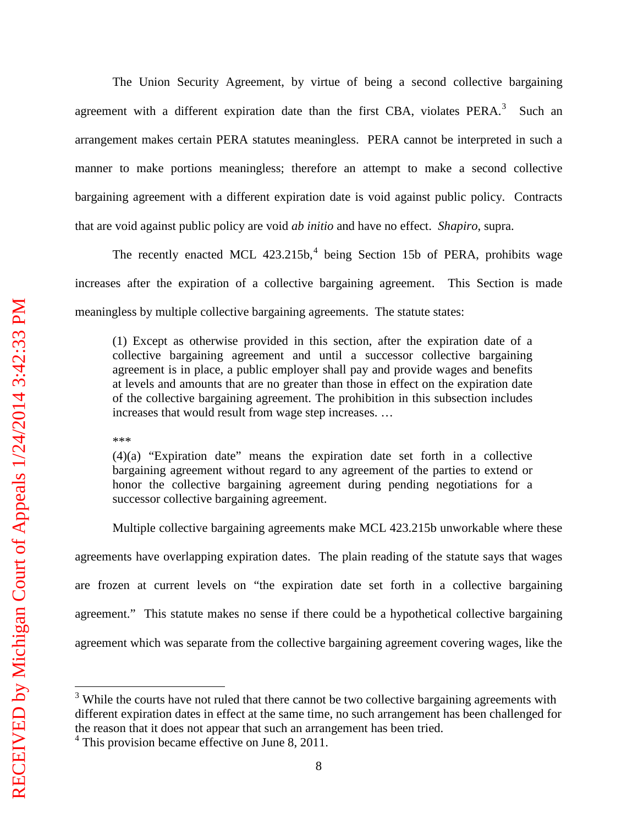The Union Security Agreement, by virtue of being a second collective bargaining agreement with a different expiration date than the first CBA, violates  $PERA$ <sup>[3](#page-11-0)</sup> Such an arrangement makes certain PERA statutes meaningless. PERA cannot be interpreted in such a manner to make portions meaningless; therefore an attempt to make a second collective bargaining agreement with a different expiration date is void against public policy. Contracts that are void against public policy are void *ab initio* and have no effect. *Shapiro*, supra.

The recently enacted MCL [4](#page-11-1)23.215b,<sup>4</sup> being Section 15b of PERA, prohibits wage increases after the expiration of a collective bargaining agreement. This Section is made meaningless by multiple collective bargaining agreements. The statute states:

(1) Except as otherwise provided in this section, after the expiration date of a collective bargaining agreement and until a successor collective bargaining agreement is in place, a public employer shall pay and provide wages and benefits at levels and amounts that are no greater than those in effect on the expiration date of the collective bargaining agreement. The prohibition in this subsection includes increases that would result from wage step increases. …

\*\*\*

(4)(a) "Expiration date" means the expiration date set forth in a collective bargaining agreement without regard to any agreement of the parties to extend or honor the collective bargaining agreement during pending negotiations for a successor collective bargaining agreement.

Multiple collective bargaining agreements make MCL 423.215b unworkable where these agreements have overlapping expiration dates. The plain reading of the statute says that wages are frozen at current levels on "the expiration date set forth in a collective bargaining agreement." This statute makes no sense if there could be a hypothetical collective bargaining agreement which was separate from the collective bargaining agreement covering wages, like the

 $\overline{a}$ 

<span id="page-11-0"></span><sup>&</sup>lt;sup>3</sup> While the courts have not ruled that there cannot be two collective bargaining agreements with different expiration dates in effect at the same time, no such arrangement has been challenged for the reason that it does not appear that such an arrangement has been tried.

<span id="page-11-1"></span> $4$  This provision became effective on June 8, 2011.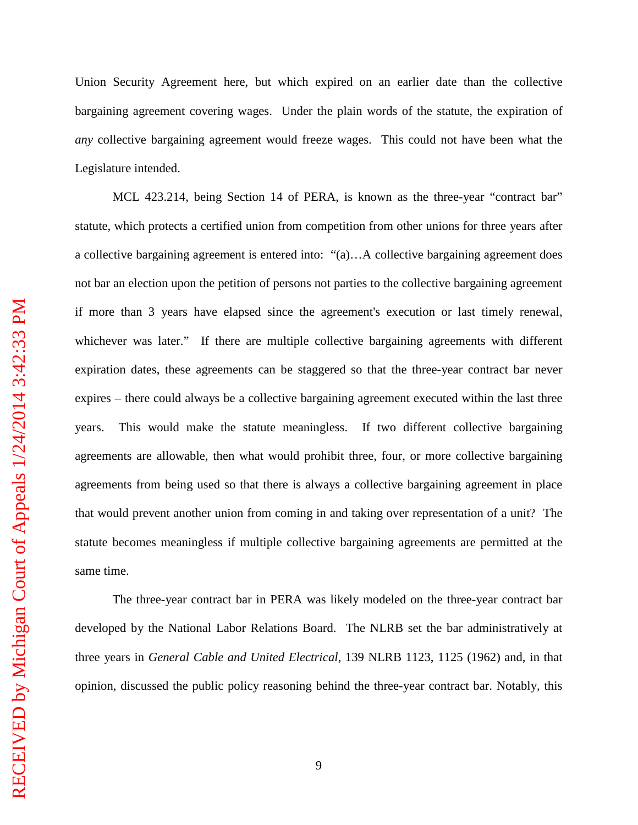Union Security Agreement here, but which expired on an earlier date than the collective bargaining agreement covering wages. Under the plain words of the statute, the expiration of *any* collective bargaining agreement would freeze wages. This could not have been what the Legislature intended.

MCL 423.214, being Section 14 of PERA, is known as the three-year "contract bar" statute, which protects a certified union from competition from other unions for three years after a collective bargaining agreement is entered into: "(a)…A collective bargaining agreement does not bar an election upon the petition of persons not parties to the collective bargaining agreement if more than 3 years have elapsed since the agreement's execution or last timely renewal, whichever was later." If there are multiple collective bargaining agreements with different expiration dates, these agreements can be staggered so that the three-year contract bar never expires – there could always be a collective bargaining agreement executed within the last three years. This would make the statute meaningless. If two different collective bargaining agreements are allowable, then what would prohibit three, four, or more collective bargaining agreements from being used so that there is always a collective bargaining agreement in place that would prevent another union from coming in and taking over representation of a unit? The statute becomes meaningless if multiple collective bargaining agreements are permitted at the same time.

The three-year contract bar in PERA was likely modeled on the three-year contract bar developed by the National Labor Relations Board. The NLRB set the bar administratively at three years in *General Cable and United Electrical*, 139 NLRB 1123, 1125 (1962) and, in that opinion, discussed the public policy reasoning behind the three-year contract bar. Notably, this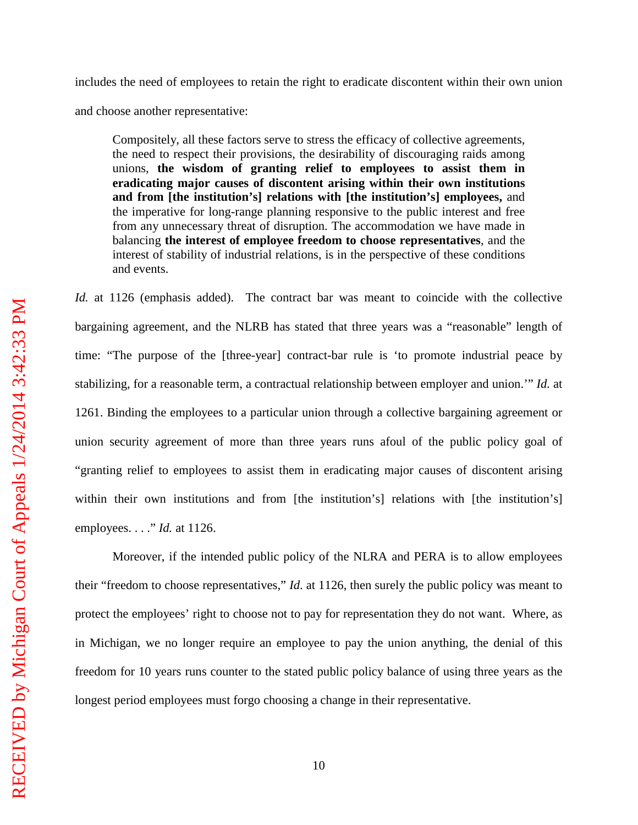includes the need of employees to retain the right to eradicate discontent within their own union

and choose another representative:

Compositely, all these factors serve to stress the efficacy of collective agreements, the need to respect their provisions, the desirability of discouraging raids among unions, **the wisdom of granting relief to employees to assist them in eradicating major causes of discontent arising within their own institutions and from [the institution's] relations with [the institution's] employees,** and the imperative for long-range planning responsive to the public interest and free from any unnecessary threat of disruption. The accommodation we have made in balancing **the interest of employee freedom to choose representatives**, and the interest of stability of industrial relations, is in the perspective of these conditions and events.

Id. at 1126 (emphasis added). The contract bar was meant to coincide with the collective bargaining agreement, and the NLRB has stated that three years was a "reasonable" length of time: "The purpose of the [three-year] contract-bar rule is 'to promote industrial peace by stabilizing, for a reasonable term, a contractual relationship between employer and union.'" *Id.* at 1261. Binding the employees to a particular union through a collective bargaining agreement or union security agreement of more than three years runs afoul of the public policy goal of "granting relief to employees to assist them in eradicating major causes of discontent arising within their own institutions and from [the institution's] relations with [the institution's] employees. . . ." *Id.* at 1126.

Moreover, if the intended public policy of the NLRA and PERA is to allow employees their "freedom to choose representatives," *Id*. at 1126, then surely the public policy was meant to protect the employees' right to choose not to pay for representation they do not want. Where, as in Michigan, we no longer require an employee to pay the union anything, the denial of this freedom for 10 years runs counter to the stated public policy balance of using three years as the longest period employees must forgo choosing a change in their representative.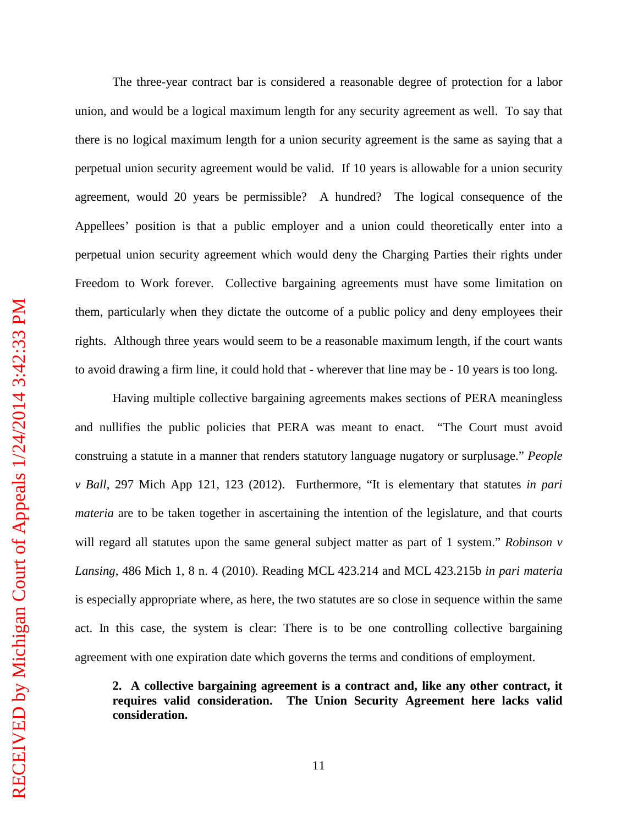The three-year contract bar is considered a reasonable degree of protection for a labor union, and would be a logical maximum length for any security agreement as well. To say that there is no logical maximum length for a union security agreement is the same as saying that a perpetual union security agreement would be valid. If 10 years is allowable for a union security agreement, would 20 years be permissible? A hundred? The logical consequence of the Appellees' position is that a public employer and a union could theoretically enter into a perpetual union security agreement which would deny the Charging Parties their rights under Freedom to Work forever. Collective bargaining agreements must have some limitation on them, particularly when they dictate the outcome of a public policy and deny employees their rights. Although three years would seem to be a reasonable maximum length, if the court wants to avoid drawing a firm line, it could hold that - wherever that line may be - 10 years is too long.

Having multiple collective bargaining agreements makes sections of PERA meaningless and nullifies the public policies that PERA was meant to enact. "The Court must avoid construing a statute in a manner that renders statutory language nugatory or surplusage." *People v Ball*, 297 Mich App 121, 123 (2012). Furthermore, "It is elementary that statutes *in pari materia* are to be taken together in ascertaining the intention of the legislature, and that courts will regard all statutes upon the same general subject matter as part of 1 system." *Robinson v Lansing*, 486 Mich 1, 8 n. 4 (2010). Reading MCL 423.214 and MCL 423.215b *in pari materia* is especially appropriate where, as here, the two statutes are so close in sequence within the same act. In this case, the system is clear: There is to be one controlling collective bargaining agreement with one expiration date which governs the terms and conditions of employment.

**2. A collective bargaining agreement is a contract and, like any other contract, it requires valid consideration. The Union Security Agreement here lacks valid consideration.**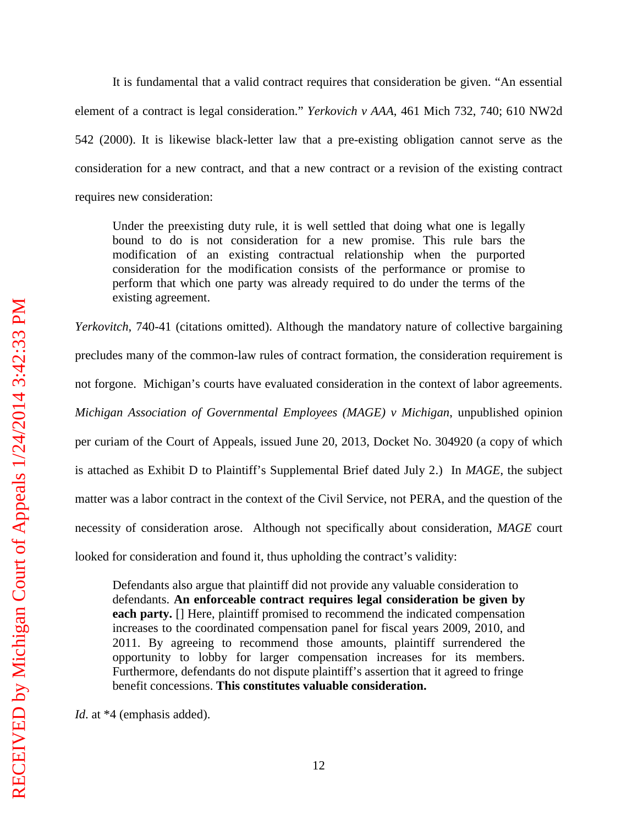It is fundamental that a valid contract requires that consideration be given. "An essential element of a contract is legal consideration." *Yerkovich v AAA*, 461 Mich 732, 740; 610 NW2d 542 (2000). It is likewise black-letter law that a pre-existing obligation cannot serve as the consideration for a new contract, and that a new contract or a revision of the existing contract requires new consideration:

Under the preexisting duty rule, it is well settled that doing what one is legally bound to do is not consideration for a new promise. This rule bars the modification of an existing contractual relationship when the purported consideration for the modification consists of the performance or promise to perform that which one party was already required to do under the terms of the existing agreement.

*Yerkovitch*, 740-41 (citations omitted). Although the mandatory nature of collective bargaining precludes many of the common-law rules of contract formation, the consideration requirement is not forgone. Michigan's courts have evaluated consideration in the context of labor agreements. *Michigan Association of Governmental Employees (MAGE) v Michigan*, unpublished opinion per curiam of the Court of Appeals, issued June 20, 2013, Docket No. 304920 (a copy of which is attached as Exhibit D to Plaintiff's Supplemental Brief dated July 2.) In *MAGE*, the subject matter was a labor contract in the context of the Civil Service, not PERA, and the question of the necessity of consideration arose. Although not specifically about consideration, *MAGE* court looked for consideration and found it, thus upholding the contract's validity:

Defendants also argue that plaintiff did not provide any valuable consideration to defendants. **An enforceable contract requires legal consideration be given by each party.** [] Here, plaintiff promised to recommend the indicated compensation increases to the coordinated compensation panel for fiscal years 2009, 2010, and 2011. By agreeing to recommend those amounts, plaintiff surrendered the opportunity to lobby for larger compensation increases for its members. Furthermore, defendants do not dispute plaintiff's assertion that it agreed to fringe benefit concessions. **This constitutes valuable consideration.**

*Id*. at \*4 (emphasis added).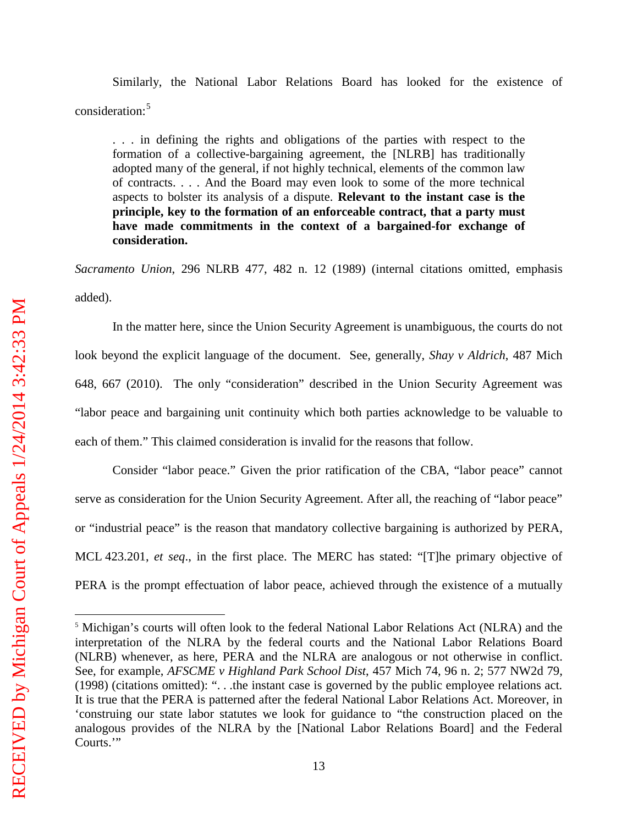Similarly, the National Labor Relations Board has looked for the existence of consideration:[5](#page-16-0)

. . . in defining the rights and obligations of the parties with respect to the formation of a collective-bargaining agreement, the [NLRB] has traditionally adopted many of the general, if not highly technical, elements of the common law of contracts. . . . And the Board may even look to some of the more technical aspects to bolster its analysis of a dispute. **Relevant to the instant case is the principle, key to the formation of an enforceable contract, that a party must have made commitments in the context of a bargained-for exchange of consideration.**

*Sacramento Union*, 296 NLRB 477, 482 n. 12 (1989) (internal citations omitted, emphasis added).

In the matter here, since the Union Security Agreement is unambiguous, the courts do not look beyond the explicit language of the document. See, generally, *Shay v Aldrich*, 487 Mich 648, 667 (2010). The only "consideration" described in the Union Security Agreement was "labor peace and bargaining unit continuity which both parties acknowledge to be valuable to each of them." This claimed consideration is invalid for the reasons that follow.

Consider "labor peace." Given the prior ratification of the CBA, "labor peace" cannot serve as consideration for the Union Security Agreement. After all, the reaching of "labor peace" or "industrial peace" is the reason that mandatory collective bargaining is authorized by PERA, MCL 423.201, *et seq*., in the first place. The MERC has stated: "[T]he primary objective of PERA is the prompt effectuation of labor peace, achieved through the existence of a mutually

 $\overline{a}$ 

<span id="page-16-0"></span><sup>5</sup> Michigan's courts will often look to the federal National Labor Relations Act (NLRA) and the interpretation of the NLRA by the federal courts and the National Labor Relations Board (NLRB) whenever, as here, PERA and the NLRA are analogous or not otherwise in conflict. See, for example, *AFSCME v Highland Park School Dist*, 457 Mich 74, 96 n. 2; 577 NW2d 79, (1998) (citations omitted): ". . .the instant case is governed by the public employee relations act*.* It is true that the PERA is patterned after the federal National Labor Relations Act. Moreover, in 'construing our state labor statutes we look for guidance to "the construction placed on the analogous provides of the NLRA by the [National Labor Relations Board] and the Federal Courts."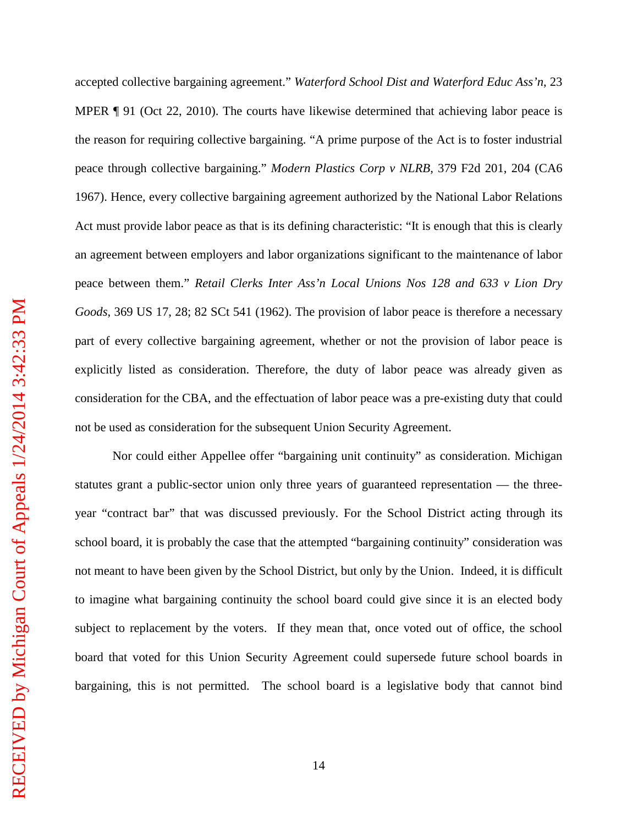accepted collective bargaining agreement." *Waterford School Dist and Waterford Educ Ass'n*, 23 MPER ¶ 91 (Oct 22, 2010). The courts have likewise determined that achieving labor peace is the reason for requiring collective bargaining. "A prime purpose of the Act is to foster industrial peace through collective bargaining." *Modern Plastics Corp v NLRB*, 379 F2d 201, 204 (CA6 1967). Hence, every collective bargaining agreement authorized by the National Labor Relations Act must provide labor peace as that is its defining characteristic: "It is enough that this is clearly an agreement between employers and labor organizations significant to the maintenance of labor peace between them." *Retail Clerks Inter Ass'n Local Unions Nos 128 and 633 v Lion Dry Goods*, 369 US 17, 28; 82 SCt 541 (1962). The provision of labor peace is therefore a necessary part of every collective bargaining agreement, whether or not the provision of labor peace is explicitly listed as consideration. Therefore, the duty of labor peace was already given as consideration for the CBA, and the effectuation of labor peace was a pre-existing duty that could not be used as consideration for the subsequent Union Security Agreement.

Nor could either Appellee offer "bargaining unit continuity" as consideration. Michigan statutes grant a public-sector union only three years of guaranteed representation — the threeyear "contract bar" that was discussed previously. For the School District acting through its school board, it is probably the case that the attempted "bargaining continuity" consideration was not meant to have been given by the School District, but only by the Union. Indeed, it is difficult to imagine what bargaining continuity the school board could give since it is an elected body subject to replacement by the voters. If they mean that, once voted out of office, the school board that voted for this Union Security Agreement could supersede future school boards in bargaining, this is not permitted. The school board is a legislative body that cannot bind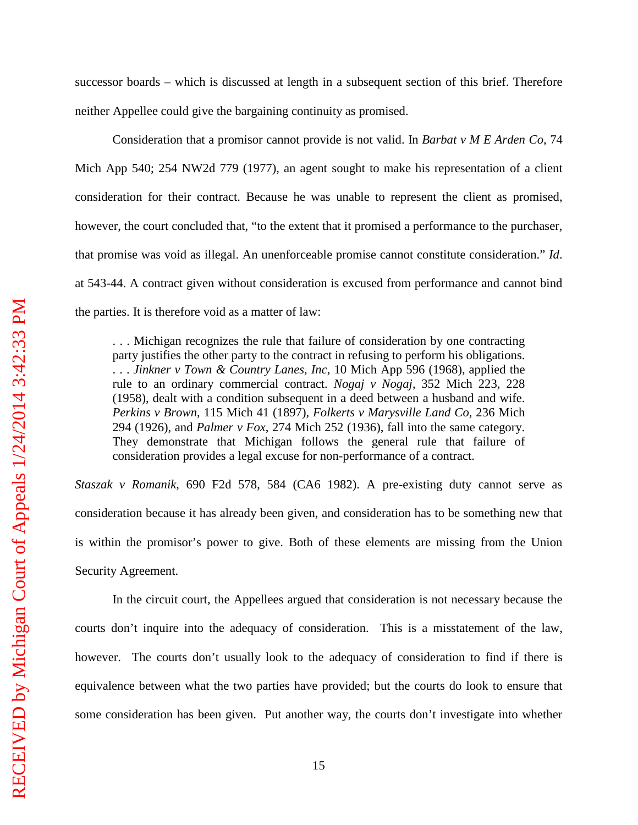successor boards – which is discussed at length in a subsequent section of this brief. Therefore neither Appellee could give the bargaining continuity as promised.

Consideration that a promisor cannot provide is not valid. In *Barbat v M E Arden Co*, 74 Mich App 540; 254 NW2d 779 (1977), an agent sought to make his representation of a client consideration for their contract. Because he was unable to represent the client as promised, however, the court concluded that, "to the extent that it promised a performance to the purchaser, that promise was void as illegal. An unenforceable promise cannot constitute consideration." *Id*. at 543-44. A contract given without consideration is excused from performance and cannot bind the parties. It is therefore void as a matter of law:

. . . Michigan recognizes the rule that failure of consideration by one contracting party justifies the other party to the contract in refusing to perform his obligations. . . . *Jinkner v Town & Country Lanes, Inc*, 10 Mich App 596 (1968), applied the rule to an ordinary commercial contract. *Nogaj v Nogaj*, 352 Mich 223, 228 (1958), dealt with a condition subsequent in a deed between a husband and wife. *Perkins v Brown*, 115 Mich 41 (1897), *Folkerts v Marysville Land Co,* 236 Mich 294 (1926), and *Palmer v Fox*, 274 Mich 252 (1936), fall into the same category. They demonstrate that Michigan follows the general rule that failure of consideration provides a legal excuse for non-performance of a contract.

*Staszak v Romanik*, 690 F2d 578, 584 (CA6 1982). A pre-existing duty cannot serve as consideration because it has already been given, and consideration has to be something new that is within the promisor's power to give. Both of these elements are missing from the Union Security Agreement.

In the circuit court, the Appellees argued that consideration is not necessary because the courts don't inquire into the adequacy of consideration. This is a misstatement of the law, however. The courts don't usually look to the adequacy of consideration to find if there is equivalence between what the two parties have provided; but the courts do look to ensure that some consideration has been given. Put another way, the courts don't investigate into whether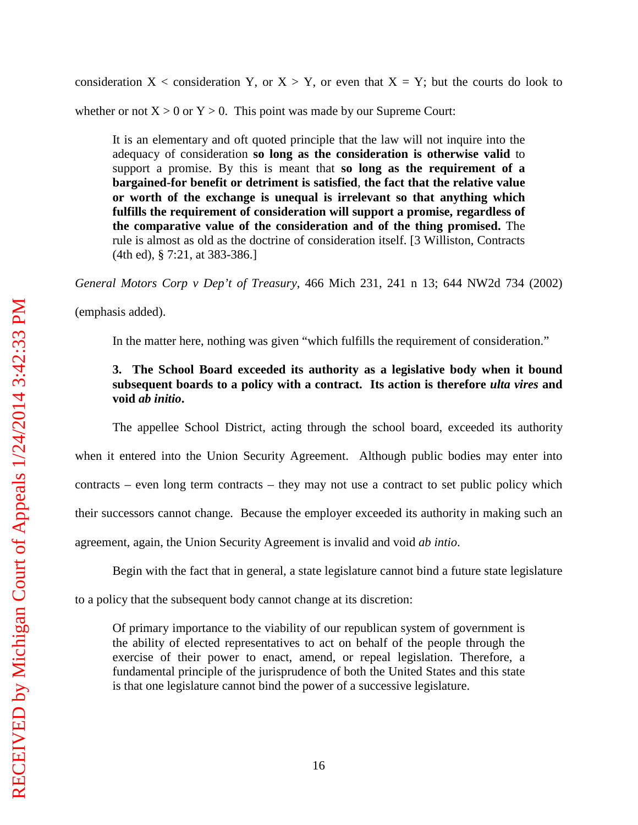consideration  $X <$  consideration Y, or  $X > Y$ , or even that  $X = Y$ ; but the courts do look to

whether or not  $X > 0$  or  $Y > 0$ . This point was made by our Supreme Court:

It is an elementary and oft quoted principle that the law will not inquire into the adequacy of consideration **so long as the consideration is otherwise valid** to support a promise. By this is meant that **so long as the requirement of a bargained-for benefit or detriment is satisfied**, **the fact that the relative value or worth of the exchange is unequal is irrelevant so that anything which fulfills the requirement of consideration will support a promise, regardless of the comparative value of the consideration and of the thing promised.** The rule is almost as old as the doctrine of consideration itself. [3 Williston, Contracts (4th ed), § 7:21, at 383-386.]

*General Motors Corp v Dep't of Treasury*, 466 Mich 231, 241 n 13; 644 NW2d 734 (2002)

(emphasis added).

In the matter here, nothing was given "which fulfills the requirement of consideration."

### **3. The School Board exceeded its authority as a legislative body when it bound subsequent boards to a policy with a contract. Its action is therefore** *ulta vires* **and void** *ab initio***.**

The appellee School District, acting through the school board, exceeded its authority when it entered into the Union Security Agreement. Although public bodies may enter into contracts – even long term contracts – they may not use a contract to set public policy which their successors cannot change. Because the employer exceeded its authority in making such an agreement, again, the Union Security Agreement is invalid and void *ab intio*.

Begin with the fact that in general, a state legislature cannot bind a future state legislature

to a policy that the subsequent body cannot change at its discretion:

Of primary importance to the viability of our republican system of government is the ability of elected representatives to act on behalf of the people through the exercise of their power to enact, amend, or repeal legislation. Therefore, a fundamental principle of the jurisprudence of both the United States and this state is that one legislature cannot bind the power of a successive legislature.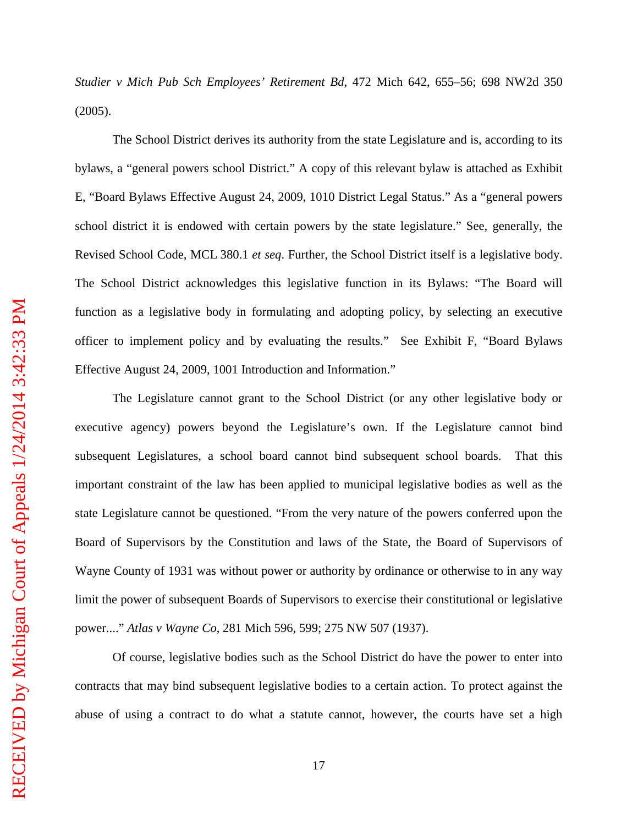*Studier v Mich Pub Sch Employees' Retirement Bd*, 472 Mich 642, 655–56; 698 NW2d 350 (2005).

The School District derives its authority from the state Legislature and is, according to its bylaws, a "general powers school District." A copy of this relevant bylaw is attached as Exhibit E, "Board Bylaws Effective August 24, 2009, 1010 District Legal Status." As a "general powers school district it is endowed with certain powers by the state legislature." See, generally, the Revised School Code, MCL 380.1 *et seq*. Further, the School District itself is a legislative body. The School District acknowledges this legislative function in its Bylaws: "The Board will function as a legislative body in formulating and adopting policy, by selecting an executive officer to implement policy and by evaluating the results." See Exhibit F, "Board Bylaws Effective August 24, 2009, 1001 Introduction and Information."

The Legislature cannot grant to the School District (or any other legislative body or executive agency) powers beyond the Legislature's own. If the Legislature cannot bind subsequent Legislatures, a school board cannot bind subsequent school boards. That this important constraint of the law has been applied to municipal legislative bodies as well as the state Legislature cannot be questioned. "From the very nature of the powers conferred upon the Board of Supervisors by the Constitution and laws of the State, the Board of Supervisors of Wayne County of 1931 was without power or authority by ordinance or otherwise to in any way limit the power of subsequent Boards of Supervisors to exercise their constitutional or legislative power...." *Atlas v Wayne Co*, 281 Mich 596, 599; 275 NW 507 (1937).

Of course, legislative bodies such as the School District do have the power to enter into contracts that may bind subsequent legislative bodies to a certain action. To protect against the abuse of using a contract to do what a statute cannot, however, the courts have set a high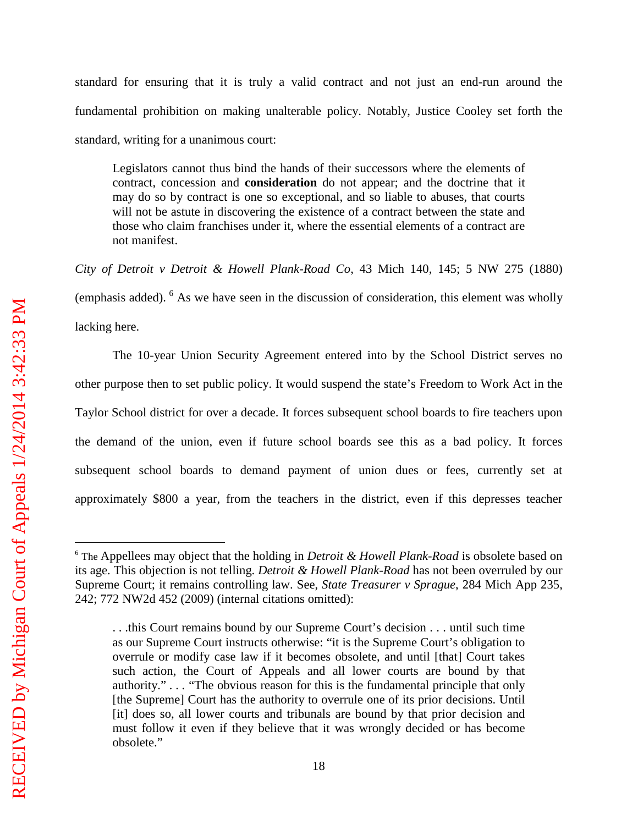standard for ensuring that it is truly a valid contract and not just an end-run around the fundamental prohibition on making unalterable policy. Notably, Justice Cooley set forth the standard, writing for a unanimous court:

Legislators cannot thus bind the hands of their successors where the elements of contract, concession and **consideration** do not appear; and the doctrine that it may do so by contract is one so exceptional, and so liable to abuses, that courts will not be astute in discovering the existence of a contract between the state and those who claim franchises under it, where the essential elements of a contract are not manifest.

*City of Detroit v Detroit & Howell Plank-Road Co*, 43 Mich 140, 145; 5 NW 275 (1880) (emphasis added). [6](#page-21-0) As we have seen in the discussion of consideration, this element was wholly lacking here.

The 10-year Union Security Agreement entered into by the School District serves no other purpose then to set public policy. It would suspend the state's Freedom to Work Act in the Taylor School district for over a decade. It forces subsequent school boards to fire teachers upon the demand of the union, even if future school boards see this as a bad policy. It forces subsequent school boards to demand payment of union dues or fees, currently set at approximately \$800 a year, from the teachers in the district, even if this depresses teacher

 $\overline{a}$ 

<span id="page-21-0"></span><sup>6</sup> The Appellees may object that the holding in *Detroit & Howell Plank-Road* is obsolete based on its age. This objection is not telling. *Detroit & Howell Plank-Road* has not been overruled by our Supreme Court; it remains controlling law. See, *State Treasurer v Sprague*, 284 Mich App 235, 242; 772 NW2d 452 (2009) (internal citations omitted):

<sup>.</sup> . .this Court remains bound by our Supreme Court's decision . . . until such time as our Supreme Court instructs otherwise: "it is the Supreme Court's obligation to overrule or modify case law if it becomes obsolete, and until [that] Court takes such action, the Court of Appeals and all lower courts are bound by that authority." *. . .* "The obvious reason for this is the fundamental principle that only [the Supreme] Court has the authority to overrule one of its prior decisions. Until [it] does so, all lower courts and tribunals are bound by that prior decision and must follow it even if they believe that it was wrongly decided or has become obsolete."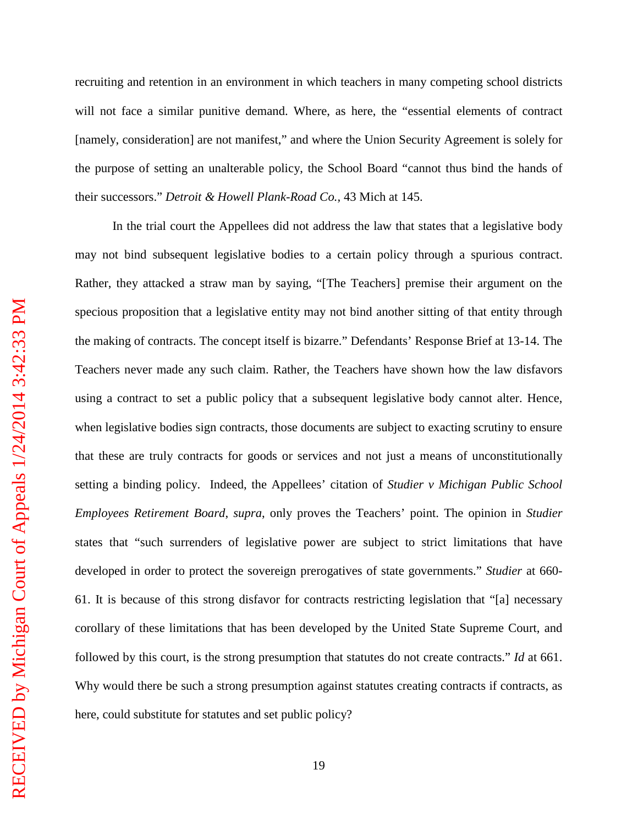recruiting and retention in an environment in which teachers in many competing school districts will not face a similar punitive demand. Where, as here, the "essential elements of contract [namely, consideration] are not manifest," and where the Union Security Agreement is solely for the purpose of setting an unalterable policy, the School Board "cannot thus bind the hands of their successors." *Detroit & Howell Plank-Road Co.,* 43 Mich at 145.

In the trial court the Appellees did not address the law that states that a legislative body may not bind subsequent legislative bodies to a certain policy through a spurious contract. Rather, they attacked a straw man by saying, "[The Teachers] premise their argument on the specious proposition that a legislative entity may not bind another sitting of that entity through the making of contracts. The concept itself is bizarre." Defendants' Response Brief at 13-14. The Teachers never made any such claim. Rather, the Teachers have shown how the law disfavors using a contract to set a public policy that a subsequent legislative body cannot alter. Hence, when legislative bodies sign contracts, those documents are subject to exacting scrutiny to ensure that these are truly contracts for goods or services and not just a means of unconstitutionally setting a binding policy. Indeed, the Appellees' citation of *Studier v Michigan Public School Employees Retirement Board*, *supra*, only proves the Teachers' point. The opinion in *Studier* states that "such surrenders of legislative power are subject to strict limitations that have developed in order to protect the sovereign prerogatives of state governments." *Studier* at 660- 61. It is because of this strong disfavor for contracts restricting legislation that "[a] necessary corollary of these limitations that has been developed by the United State Supreme Court, and followed by this court, is the strong presumption that statutes do not create contracts." *Id* at 661. Why would there be such a strong presumption against statutes creating contracts if contracts, as here, could substitute for statutes and set public policy?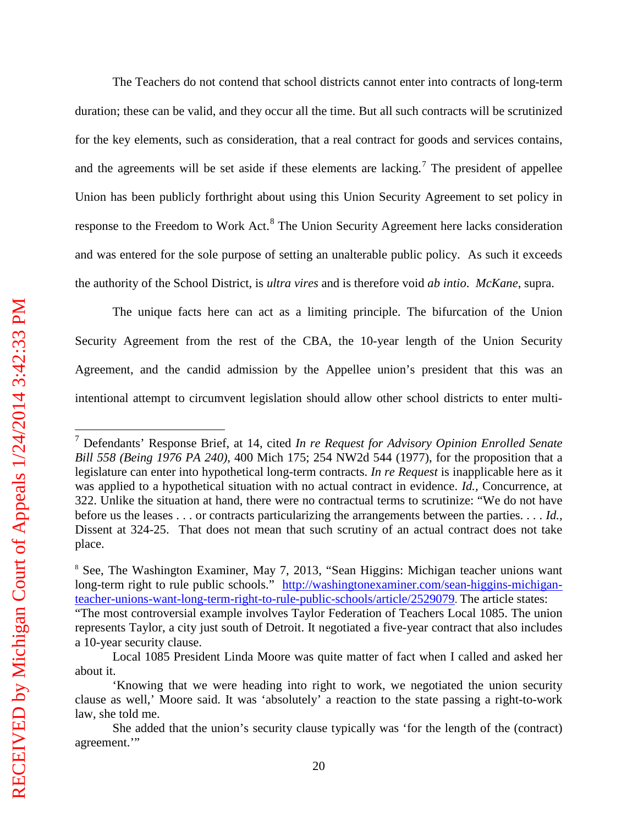$\overline{a}$ 

The Teachers do not contend that school districts cannot enter into contracts of long-term duration; these can be valid, and they occur all the time. But all such contracts will be scrutinized for the key elements, such as consideration, that a real contract for goods and services contains, and the agreements will be set aside if these elements are lacking.<sup>[7](#page-23-0)</sup> The president of appellee Union has been publicly forthright about using this Union Security Agreement to set policy in response to the Freedom to Work Act.<sup>[8](#page-23-1)</sup> The Union Security Agreement here lacks consideration and was entered for the sole purpose of setting an unalterable public policy. As such it exceeds the authority of the School District, is *ultra vires* and is therefore void *ab intio*. *McKane*, supra.

The unique facts here can act as a limiting principle. The bifurcation of the Union Security Agreement from the rest of the CBA, the 10-year length of the Union Security Agreement, and the candid admission by the Appellee union's president that this was an intentional attempt to circumvent legislation should allow other school districts to enter multi-

<span id="page-23-0"></span><sup>7</sup> Defendants' Response Brief, at 14, cited *In re Request for Advisory Opinion Enrolled Senate Bill 558 (Being 1976 PA 240)*, 400 Mich 175; 254 NW2d 544 (1977), for the proposition that a legislature can enter into hypothetical long-term contracts. *In re Request* is inapplicable here as it was applied to a hypothetical situation with no actual contract in evidence. *Id.,* Concurrence, at 322. Unlike the situation at hand, there were no contractual terms to scrutinize: "We do not have before us the leases . . . or contracts particularizing the arrangements between the parties. . . . *Id.,*  Dissent at 324-25. That does not mean that such scrutiny of an actual contract does not take place.

<span id="page-23-1"></span><sup>&</sup>lt;sup>8</sup> See, The Washington Examiner, May 7, 2013, "Sean Higgins: Michigan teacher unions want long-term right to rule public schools." [http://washingtonexaminer.com/sean-higgins-michigan](http://washingtonexaminer.com/sean-higgins-michigan-teacher-unions-want-long-term-right-to-rule-public-schools/article/2529079)[teacher-unions-want-long-term-right-to-rule-public-schools/article/2529079.](http://washingtonexaminer.com/sean-higgins-michigan-teacher-unions-want-long-term-right-to-rule-public-schools/article/2529079) The article states: "The most controversial example involves Taylor Federation of Teachers Local 1085. The union represents Taylor, a city just south of Detroit. It negotiated a five-year contract that also includes a 10-year security clause.

Local 1085 President Linda Moore was quite matter of fact when I called and asked her about it.

<sup>&#</sup>x27;Knowing that we were heading into right to work, we negotiated the union security clause as well,' Moore said. It was 'absolutely' a reaction to the state passing a right-to-work law, she told me.

She added that the union's security clause typically was 'for the length of the (contract) agreement.'"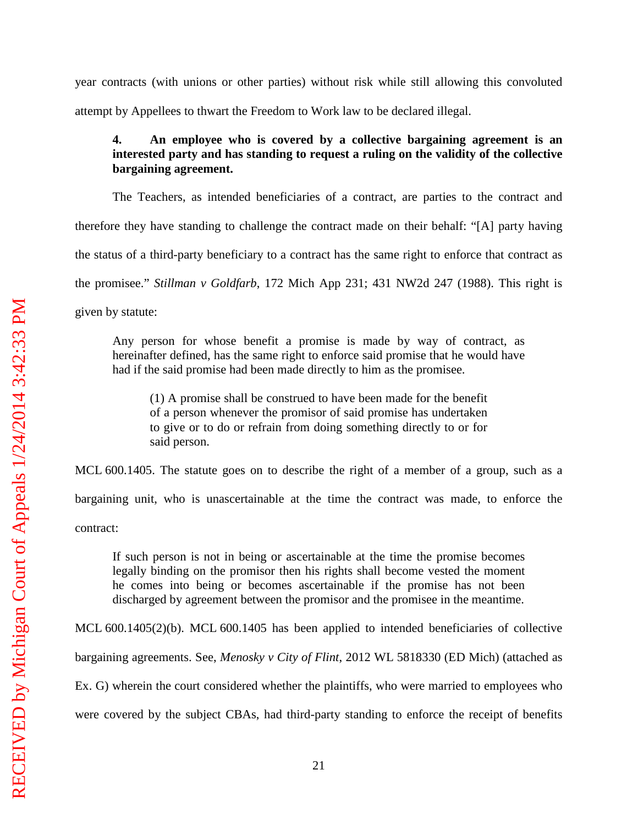year contracts (with unions or other parties) without risk while still allowing this convoluted attempt by Appellees to thwart the Freedom to Work law to be declared illegal.

### **4. An employee who is covered by a collective bargaining agreement is an interested party and has standing to request a ruling on the validity of the collective bargaining agreement.**

The Teachers, as intended beneficiaries of a contract, are parties to the contract and

therefore they have standing to challenge the contract made on their behalf: "[A] party having

the status of a third-party beneficiary to a contract has the same right to enforce that contract as

the promisee." *Stillman v Goldfarb*, 172 Mich App 231; 431 NW2d 247 (1988). This right is

given by statute:

Any person for whose benefit a promise is made by way of contract, as hereinafter defined, has the same right to enforce said promise that he would have had if the said promise had been made directly to him as the promisee.

(1) A promise shall be construed to have been made for the benefit of a person whenever the promisor of said promise has undertaken to give or to do or refrain from doing something directly to or for said person.

MCL 600.1405. The statute goes on to describe the right of a member of a group, such as a

bargaining unit, who is unascertainable at the time the contract was made, to enforce the

contract:

If such person is not in being or ascertainable at the time the promise becomes legally binding on the promisor then his rights shall become vested the moment he comes into being or becomes ascertainable if the promise has not been discharged by agreement between the promisor and the promisee in the meantime.

MCL 600.1405(2)(b). MCL 600.1405 has been applied to intended beneficiaries of collective

bargaining agreements. See, *Menosky v City of Flint*, 2012 WL 5818330 (ED Mich) (attached as

Ex. G) wherein the court considered whether the plaintiffs, who were married to employees who

were covered by the subject CBAs, had third-party standing to enforce the receipt of benefits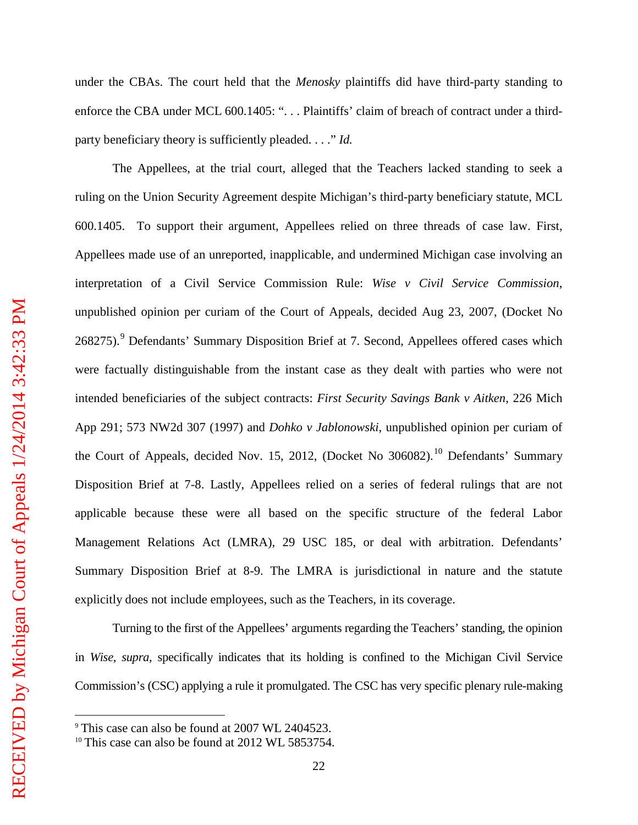$\overline{a}$ 

under the CBAs. The court held that the *Menosky* plaintiffs did have third-party standing to enforce the CBA under MCL 600.1405: ". . . Plaintiffs' claim of breach of contract under a thirdparty beneficiary theory is sufficiently pleaded. . . ." *Id.*

The Appellees, at the trial court, alleged that the Teachers lacked standing to seek a ruling on the Union Security Agreement despite Michigan's third-party beneficiary statute, MCL 600.1405. To support their argument, Appellees relied on three threads of case law. First, Appellees made use of an unreported, inapplicable, and undermined Michigan case involving an interpretation of a Civil Service Commission Rule: *Wise v Civil Service Commission*, unpublished opinion per curiam of the Court of Appeals, decided Aug 23, 2007, (Docket No 268275).<sup>[9](#page-25-0)</sup> Defendants' Summary Disposition Brief at 7. Second, Appellees offered cases which were factually distinguishable from the instant case as they dealt with parties who were not intended beneficiaries of the subject contracts: *First Security Savings Bank v Aitken*, 226 Mich App 291; 573 NW2d 307 (1997) and *Dohko v Jablonowski*, unpublished opinion per curiam of the Court of Appeals, decided Nov. 15, 2012, (Docket No 306082).<sup>[10](#page-25-1)</sup> Defendants' Summary Disposition Brief at 7-8. Lastly, Appellees relied on a series of federal rulings that are not applicable because these were all based on the specific structure of the federal Labor Management Relations Act (LMRA), 29 USC 185, or deal with arbitration. Defendants' Summary Disposition Brief at 8-9. The LMRA is jurisdictional in nature and the statute explicitly does not include employees, such as the Teachers, in its coverage.

Turning to the first of the Appellees' arguments regarding the Teachers' standing, the opinion in *Wise, supra,* specifically indicates that its holding is confined to the Michigan Civil Service Commission's (CSC) applying a rule it promulgated. The CSC has very specific plenary rule-making

<span id="page-25-0"></span><sup>9</sup> This case can also be found at 2007 WL 2404523.

<span id="page-25-1"></span><sup>&</sup>lt;sup>10</sup> This case can also be found at 2012 WL 5853754.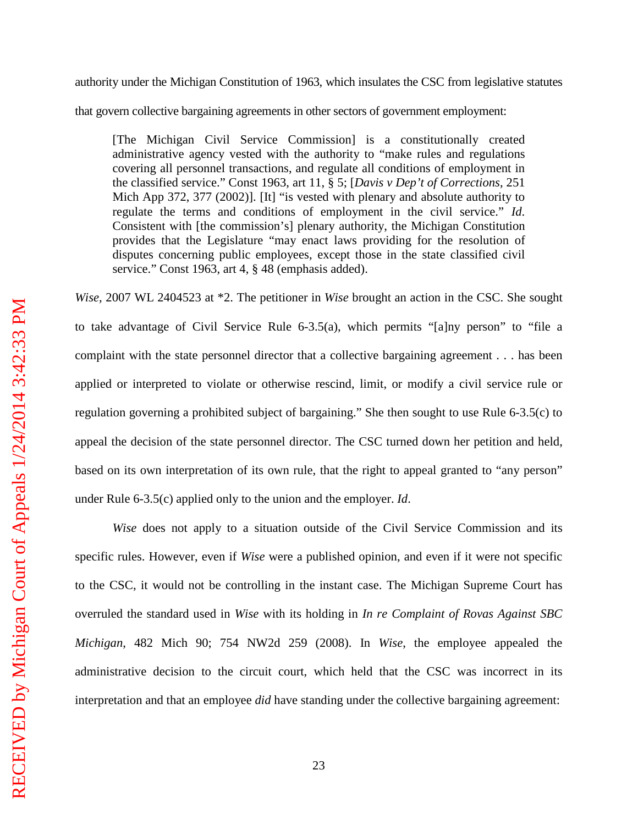# authority under the Michigan Constitution of 1963, which insulates the CSC from legislative statutes that govern collective bargaining agreements in other sectors of government employment:

[The Michigan Civil Service Commission] is a constitutionally created administrative agency vested with the authority to "make rules and regulations covering all personnel transactions, and regulate all conditions of employment in the classified service." Const 1963, art 11, § 5; [*Davis v Dep't of Corrections*, 251 Mich App 372, 377 (2002)]. [It] "is vested with plenary and absolute authority to regulate the terms and conditions of employment in the civil service." *Id*. Consistent with [the commission's] plenary authority, the Michigan Constitution provides that the Legislature "may enact laws providing for the resolution of disputes concerning public employees, except those in the state classified civil service." Const 1963, art 4, § 48 (emphasis added).

*Wise,* 2007 WL 2404523 at \*2. The petitioner in *Wise* brought an action in the CSC. She sought to take advantage of Civil Service Rule 6-3.5(a), which permits "[a]ny person" to "file a complaint with the state personnel director that a collective bargaining agreement . . . has been applied or interpreted to violate or otherwise rescind, limit, or modify a civil service rule or regulation governing a prohibited subject of bargaining." She then sought to use Rule 6-3.5(c) to appeal the decision of the state personnel director. The CSC turned down her petition and held, based on its own interpretation of its own rule, that the right to appeal granted to "any person" under Rule 6-3.5(c) applied only to the union and the employer. *Id*.

*Wise* does not apply to a situation outside of the Civil Service Commission and its specific rules. However, even if *Wise* were a published opinion, and even if it were not specific to the CSC, it would not be controlling in the instant case. The Michigan Supreme Court has overruled the standard used in *Wise* with its holding in *In re Complaint of Rovas Against SBC Michigan*, 482 Mich 90; 754 NW2d 259 (2008). In *Wise*, the employee appealed the administrative decision to the circuit court, which held that the CSC was incorrect in its interpretation and that an employee *did* have standing under the collective bargaining agreement: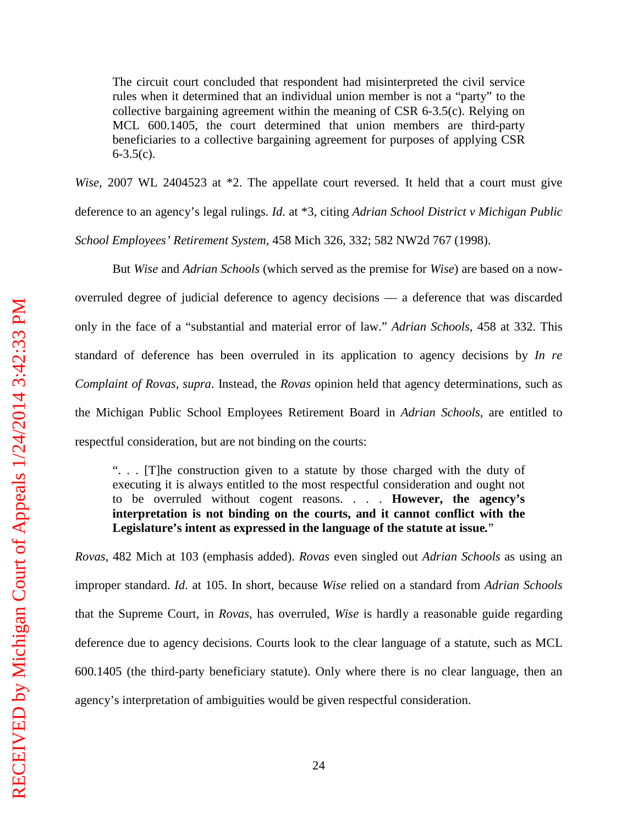The circuit court concluded that respondent had misinterpreted the civil service rules when it determined that an individual union member is not a "party" to the collective bargaining agreement within the meaning of CSR 6-3.5(c). Relying on MCL 600.1405, the court determined that union members are third-party beneficiaries to a collective bargaining agreement for purposes of applying CSR  $6 - 3.5(c)$ .

*Wise,* 2007 WL 2404523 at \*2. The appellate court reversed. It held that a court must give deference to an agency's legal rulings. *Id*. at \*3, citing *Adrian School District v Michigan Public School Employees' Retirement System*, 458 Mich 326, 332; 582 NW2d 767 (1998).

But *Wise* and *Adrian Schools* (which served as the premise for *Wise*) are based on a nowoverruled degree of judicial deference to agency decisions — a deference that was discarded only in the face of a "substantial and material error of law." *Adrian Schools*, 458 at 332. This standard of deference has been overruled in its application to agency decisions by *In re Complaint of Rovas, supra*. Instead, the *Rovas* opinion held that agency determinations, such as the Michigan Public School Employees Retirement Board in *Adrian Schools*, are entitled to respectful consideration, but are not binding on the courts:

". . . [T]he construction given to a statute by those charged with the duty of executing it is always entitled to the most respectful consideration and ought not to be overruled without cogent reasons. . . . **However, the agency's interpretation is not binding on the courts, and it cannot conflict with the Legislature's intent as expressed in the language of the statute at issue***.*"

*Rovas*, 482 Mich at 103 (emphasis added). *Rovas* even singled out *Adrian Schools* as using an improper standard. *Id*. at 105. In short, because *Wise* relied on a standard from *Adrian Schools* that the Supreme Court, in *Rovas*, has overruled, *Wise* is hardly a reasonable guide regarding deference due to agency decisions. Courts look to the clear language of a statute, such as MCL 600.1405 (the third-party beneficiary statute). Only where there is no clear language, then an agency's interpretation of ambiguities would be given respectful consideration.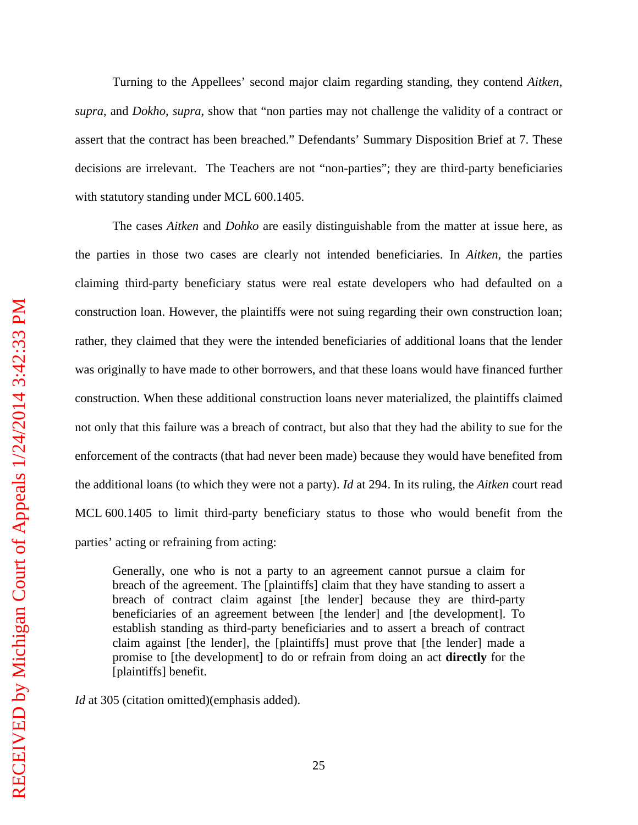Turning to the Appellees' second major claim regarding standing, they contend *Aitken*, *supra*, and *Dokho*, *supra*, show that "non parties may not challenge the validity of a contract or assert that the contract has been breached." Defendants' Summary Disposition Brief at 7. These decisions are irrelevant. The Teachers are not "non-parties"; they are third-party beneficiaries with statutory standing under MCL 600.1405.

The cases *Aitken* and *Dohko* are easily distinguishable from the matter at issue here, as the parties in those two cases are clearly not intended beneficiaries. In *Aitken,* the parties claiming third-party beneficiary status were real estate developers who had defaulted on a construction loan. However, the plaintiffs were not suing regarding their own construction loan; rather, they claimed that they were the intended beneficiaries of additional loans that the lender was originally to have made to other borrowers, and that these loans would have financed further construction. When these additional construction loans never materialized, the plaintiffs claimed not only that this failure was a breach of contract, but also that they had the ability to sue for the enforcement of the contracts (that had never been made) because they would have benefited from the additional loans (to which they were not a party). *Id* at 294. In its ruling, the *Aitken* court read MCL 600.1405 to limit third-party beneficiary status to those who would benefit from the parties' acting or refraining from acting:

Generally, one who is not a party to an agreement cannot pursue a claim for breach of the agreement. The [plaintiffs] claim that they have standing to assert a breach of contract claim against [the lender] because they are third-party beneficiaries of an agreement between [the lender] and [the development]. To establish standing as third-party beneficiaries and to assert a breach of contract claim against [the lender], the [plaintiffs] must prove that [the lender] made a promise to [the development] to do or refrain from doing an act **directly** for the [plaintiffs] benefit.

*Id* at 305 (citation omitted)(emphasis added).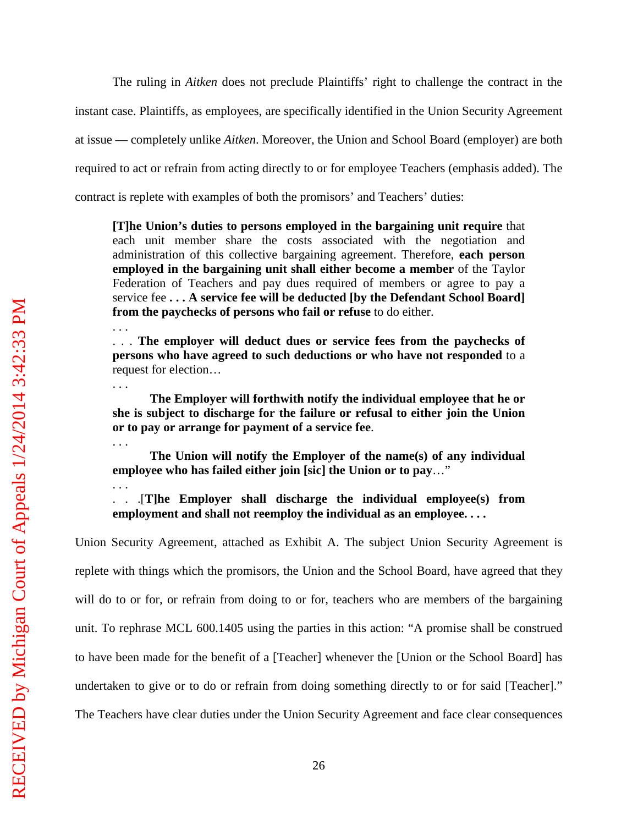The ruling in *Aitken* does not preclude Plaintiffs' right to challenge the contract in the instant case. Plaintiffs, as employees, are specifically identified in the Union Security Agreement at issue — completely unlike *Aitken*. Moreover, the Union and School Board (employer) are both required to act or refrain from acting directly to or for employee Teachers (emphasis added). The contract is replete with examples of both the promisors' and Teachers' duties:

**[T]he Union's duties to persons employed in the bargaining unit require** that each unit member share the costs associated with the negotiation and administration of this collective bargaining agreement. Therefore, **each person employed in the bargaining unit shall either become a member** of the Taylor Federation of Teachers and pay dues required of members or agree to pay a service fee **. . . A service fee will be deducted [by the Defendant School Board] from the paychecks of persons who fail or refuse** to do either.

. . . **The employer will deduct dues or service fees from the paychecks of persons who have agreed to such deductions or who have not responded** to a request for election…

**The Employer will forthwith notify the individual employee that he or she is subject to discharge for the failure or refusal to either join the Union or to pay or arrange for payment of a service fee**.

**The Union will notify the Employer of the name(s) of any individual employee who has failed either join [sic] the Union or to pay**…"

. . .[**T]he Employer shall discharge the individual employee(s) from employment and shall not reemploy the individual as an employee. . . .**

Union Security Agreement, attached as Exhibit A. The subject Union Security Agreement is replete with things which the promisors, the Union and the School Board, have agreed that they will do to or for, or refrain from doing to or for, teachers who are members of the bargaining unit. To rephrase MCL 600.1405 using the parties in this action: "A promise shall be construed to have been made for the benefit of a [Teacher] whenever the [Union or the School Board] has undertaken to give or to do or refrain from doing something directly to or for said [Teacher]." The Teachers have clear duties under the Union Security Agreement and face clear consequences

. . .

. . .

. . .

. . .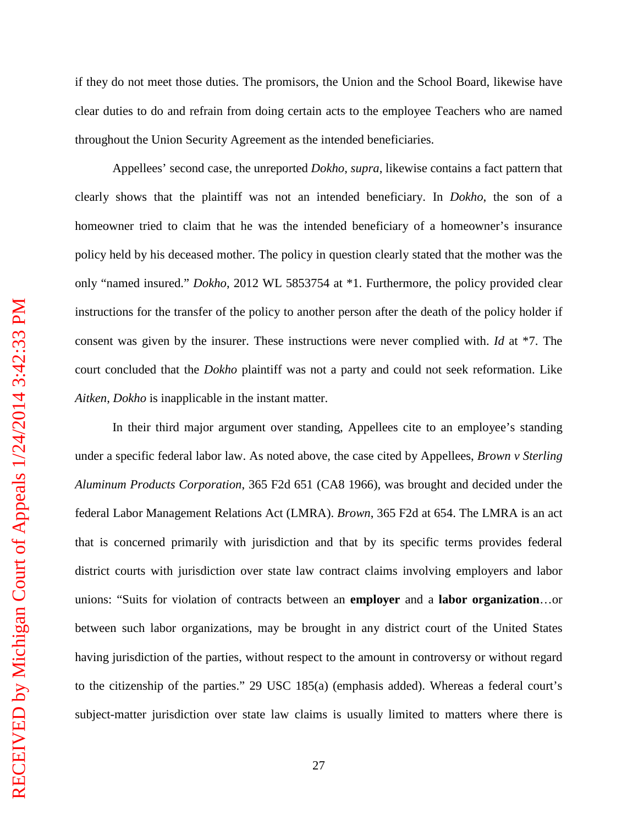if they do not meet those duties. The promisors, the Union and the School Board, likewise have clear duties to do and refrain from doing certain acts to the employee Teachers who are named throughout the Union Security Agreement as the intended beneficiaries.

Appellees' second case, the unreported *Dokho*, *supra*, likewise contains a fact pattern that clearly shows that the plaintiff was not an intended beneficiary. In *Dokho*, the son of a homeowner tried to claim that he was the intended beneficiary of a homeowner's insurance policy held by his deceased mother. The policy in question clearly stated that the mother was the only "named insured." *Dokho*, 2012 WL 5853754 at \*1. Furthermore, the policy provided clear instructions for the transfer of the policy to another person after the death of the policy holder if consent was given by the insurer. These instructions were never complied with. *Id* at \*7. The court concluded that the *Dokho* plaintiff was not a party and could not seek reformation. Like *Aitken*, *Dokho* is inapplicable in the instant matter.

In their third major argument over standing, Appellees cite to an employee's standing under a specific federal labor law. As noted above, the case cited by Appellees, *Brown v Sterling Aluminum Products Corporation*, 365 F2d 651 (CA8 1966), was brought and decided under the federal Labor Management Relations Act (LMRA). *Brown*, 365 F2d at 654. The LMRA is an act that is concerned primarily with jurisdiction and that by its specific terms provides federal district courts with jurisdiction over state law contract claims involving employers and labor unions: "Suits for violation of contracts between an **employer** and a **labor organization**…or between such labor organizations, may be brought in any district court of the United States having jurisdiction of the parties, without respect to the amount in controversy or without regard to the citizenship of the parties." 29 USC 185(a) (emphasis added). Whereas a federal court's subject-matter jurisdiction over state law claims is usually limited to matters where there is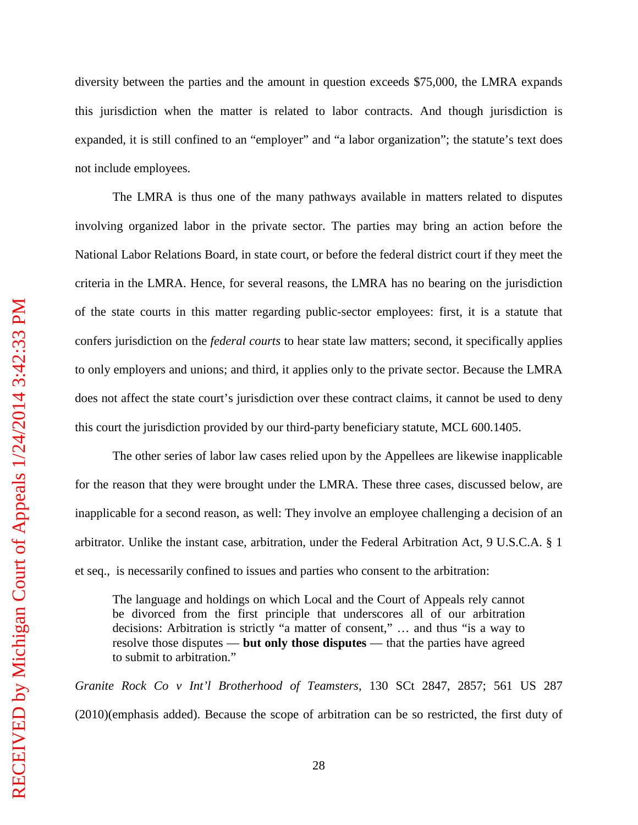diversity between the parties and the amount in question exceeds \$75,000, the LMRA expands this jurisdiction when the matter is related to labor contracts. And though jurisdiction is expanded, it is still confined to an "employer" and "a labor organization"; the statute's text does not include employees.

The LMRA is thus one of the many pathways available in matters related to disputes involving organized labor in the private sector. The parties may bring an action before the National Labor Relations Board, in state court, or before the federal district court if they meet the criteria in the LMRA. Hence, for several reasons, the LMRA has no bearing on the jurisdiction of the state courts in this matter regarding public-sector employees: first, it is a statute that confers jurisdiction on the *federal courts* to hear state law matters; second, it specifically applies to only employers and unions; and third, it applies only to the private sector. Because the LMRA does not affect the state court's jurisdiction over these contract claims, it cannot be used to deny this court the jurisdiction provided by our third-party beneficiary statute, MCL 600.1405.

The other series of labor law cases relied upon by the Appellees are likewise inapplicable for the reason that they were brought under the LMRA. These three cases, discussed below, are inapplicable for a second reason, as well: They involve an employee challenging a decision of an arbitrator. Unlike the instant case, arbitration, under the Federal Arbitration Act, 9 U.S.C.A. § 1 et seq., is necessarily confined to issues and parties who consent to the arbitration:

The language and holdings on which Local and the Court of Appeals rely cannot be divorced from the first principle that underscores all of our arbitration decisions: Arbitration is strictly "a matter of consent," … and thus "is a way to resolve those disputes — **but only those disputes** — that the parties have agreed to submit to arbitration."

*Granite Rock Co v Int'l Brotherhood of Teamsters*, 130 SCt 2847, 2857; 561 US 287 (2010)(emphasis added). Because the scope of arbitration can be so restricted, the first duty of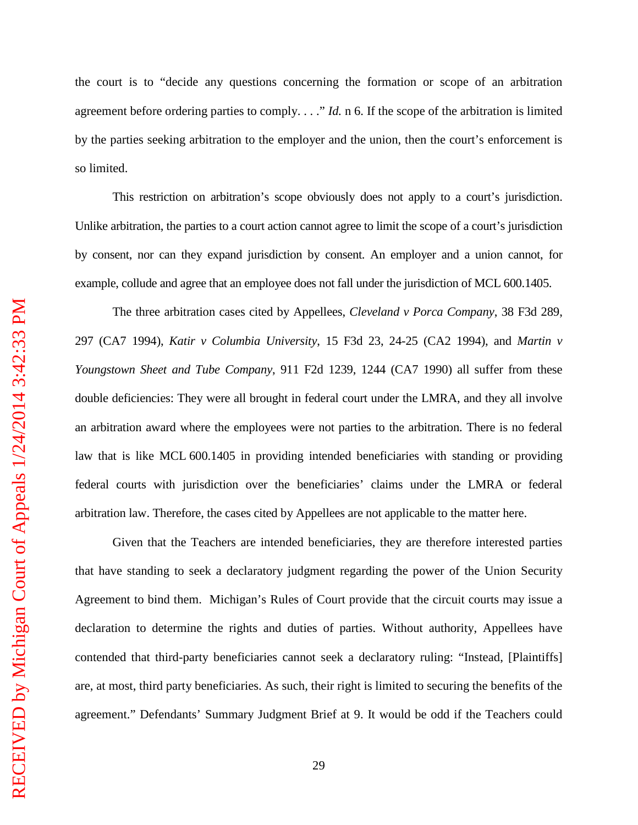the court is to "decide any questions concerning the formation or scope of an arbitration agreement before ordering parties to comply. . . ." *Id.* n 6. If the scope of the arbitration is limited by the parties seeking arbitration to the employer and the union, then the court's enforcement is so limited.

This restriction on arbitration's scope obviously does not apply to a court's jurisdiction. Unlike arbitration, the parties to a court action cannot agree to limit the scope of a court's jurisdiction by consent, nor can they expand jurisdiction by consent. An employer and a union cannot, for example, collude and agree that an employee does not fall under the jurisdiction of MCL 600.1405.

The three arbitration cases cited by Appellees, *Cleveland v Porca Company*, 38 F3d 289, 297 (CA7 1994), *Katir v Columbia University*, 15 F3d 23, 24-25 (CA2 1994), and *Martin v Youngstown Sheet and Tube Company*, 911 F2d 1239, 1244 (CA7 1990) all suffer from these double deficiencies: They were all brought in federal court under the LMRA, and they all involve an arbitration award where the employees were not parties to the arbitration. There is no federal law that is like MCL 600.1405 in providing intended beneficiaries with standing or providing federal courts with jurisdiction over the beneficiaries' claims under the LMRA or federal arbitration law. Therefore, the cases cited by Appellees are not applicable to the matter here.

Given that the Teachers are intended beneficiaries, they are therefore interested parties that have standing to seek a declaratory judgment regarding the power of the Union Security Agreement to bind them. Michigan's Rules of Court provide that the circuit courts may issue a declaration to determine the rights and duties of parties. Without authority, Appellees have contended that third-party beneficiaries cannot seek a declaratory ruling: "Instead, [Plaintiffs] are, at most, third party beneficiaries. As such, their right is limited to securing the benefits of the agreement." Defendants' Summary Judgment Brief at 9. It would be odd if the Teachers could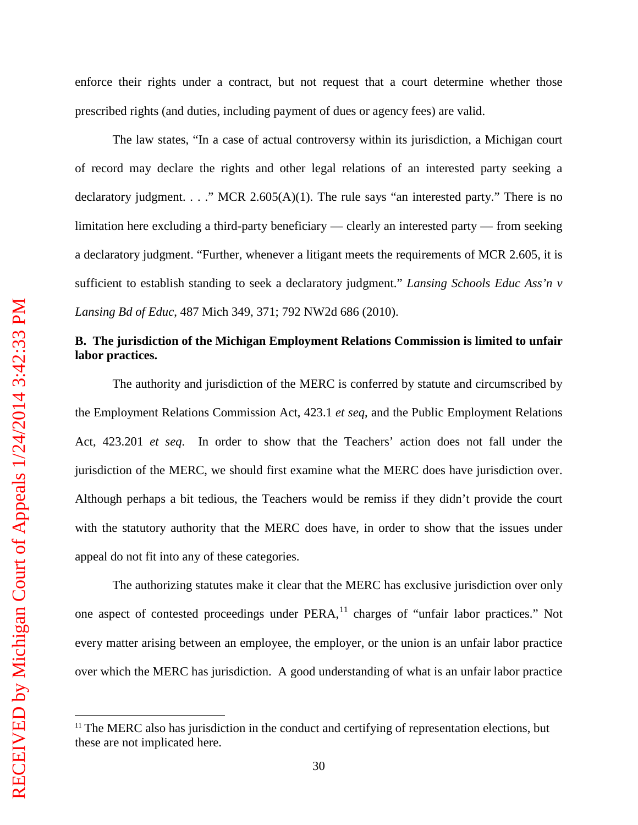$\overline{a}$ 

enforce their rights under a contract, but not request that a court determine whether those prescribed rights (and duties, including payment of dues or agency fees) are valid.

The law states, "In a case of actual controversy within its jurisdiction, a Michigan court of record may declare the rights and other legal relations of an interested party seeking a declaratory judgment. . . ." MCR 2.605(A)(1). The rule says "an interested party." There is no limitation here excluding a third-party beneficiary — clearly an interested party — from seeking a declaratory judgment. "Further, whenever a litigant meets the requirements of MCR 2.605, it is sufficient to establish standing to seek a declaratory judgment." *Lansing Schools Educ Ass'n v Lansing Bd of Educ*, 487 Mich 349, 371; 792 NW2d 686 (2010).

### **B. The jurisdiction of the Michigan Employment Relations Commission is limited to unfair labor practices.**

The authority and jurisdiction of the MERC is conferred by statute and circumscribed by the Employment Relations Commission Act, 423.1 *et seq*, and the Public Employment Relations Act, 423.201 *et seq*. In order to show that the Teachers' action does not fall under the jurisdiction of the MERC, we should first examine what the MERC does have jurisdiction over. Although perhaps a bit tedious, the Teachers would be remiss if they didn't provide the court with the statutory authority that the MERC does have, in order to show that the issues under appeal do not fit into any of these categories.

The authorizing statutes make it clear that the MERC has exclusive jurisdiction over only one aspect of contested proceedings under PERA,<sup>[11](#page-33-0)</sup> charges of "unfair labor practices." Not every matter arising between an employee, the employer, or the union is an unfair labor practice over which the MERC has jurisdiction. A good understanding of what is an unfair labor practice

<span id="page-33-0"></span> $11$  The MERC also has jurisdiction in the conduct and certifying of representation elections, but these are not implicated here.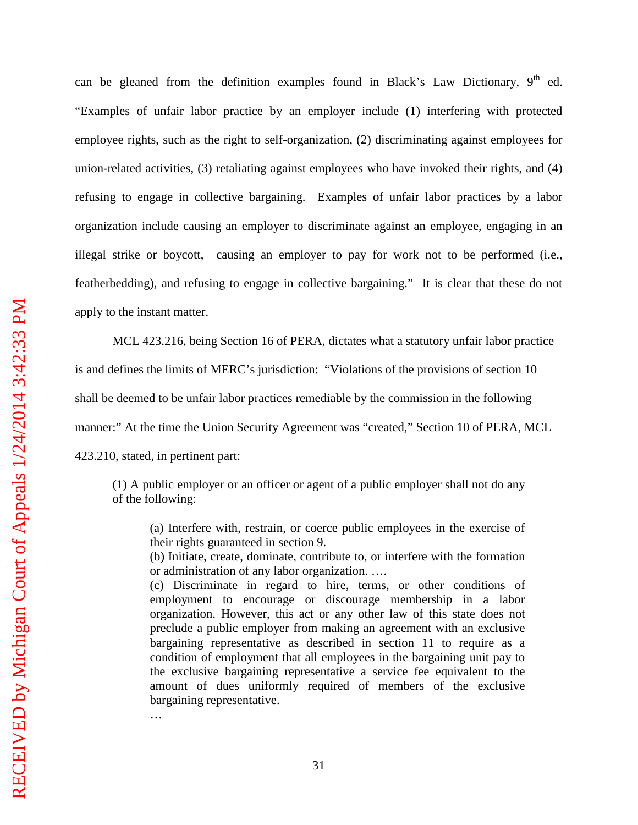can be gleaned from the definition examples found in Black's Law Dictionary,  $9<sup>th</sup>$  ed. "Examples of unfair labor practice by an employer include (1) interfering with protected employee rights, such as the right to self-organization, (2) discriminating against employees for union-related activities, (3) retaliating against employees who have invoked their rights, and (4) refusing to engage in collective bargaining. Examples of unfair labor practices by a labor organization include causing an employer to discriminate against an employee, engaging in an illegal strike or boycott, causing an employer to pay for work not to be performed (i.e., featherbedding), and refusing to engage in collective bargaining." It is clear that these do not apply to the instant matter.

MCL 423.216, being Section 16 of PERA, dictates what a statutory unfair labor practice is and defines the limits of MERC's jurisdiction: "Violations of the provisions of section 10 shall be deemed to be unfair labor practices remediable by the commission in the following manner:" At the time the Union Security Agreement was "created," Section 10 of PERA, MCL 423.210, stated, in pertinent part:

(1) A public employer or an officer or agent of a public employer shall not do any of the following:

(a) Interfere with, restrain, or coerce public employees in the exercise of their rights guaranteed in section 9.

(b) Initiate, create, dominate, contribute to, or interfere with the formation or administration of any labor organization. ….

(c) Discriminate in regard to hire, terms, or other conditions of employment to encourage or discourage membership in a labor organization. However, this act or any other law of this state does not preclude a public employer from making an agreement with an exclusive bargaining representative as described in section 11 to require as a condition of employment that all employees in the bargaining unit pay to the exclusive bargaining representative a service fee equivalent to the amount of dues uniformly required of members of the exclusive bargaining representative.

…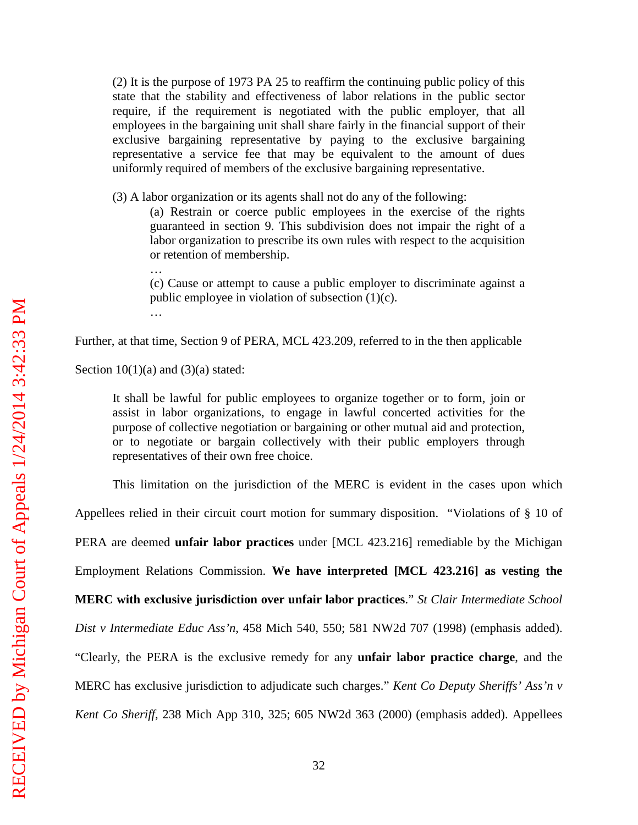(2) It is the purpose of 1973 PA 25 to reaffirm the continuing public policy of this state that the stability and effectiveness of labor relations in the public sector require, if the requirement is negotiated with the public employer, that all employees in the bargaining unit shall share fairly in the financial support of their exclusive bargaining representative by paying to the exclusive bargaining representative a service fee that may be equivalent to the amount of dues uniformly required of members of the exclusive bargaining representative.

(3) A labor organization or its agents shall not do any of the following:

(a) Restrain or coerce public employees in the exercise of the rights guaranteed in section 9. This subdivision does not impair the right of a labor organization to prescribe its own rules with respect to the acquisition or retention of membership.

(c) Cause or attempt to cause a public employer to discriminate against a public employee in violation of subsection (1)(c). …

Further, at that time, Section 9 of PERA, MCL 423.209, referred to in the then applicable

Section  $10(1)(a)$  and  $(3)(a)$  stated:

…

It shall be lawful for public employees to organize together or to form, join or assist in labor organizations, to engage in lawful concerted activities for the purpose of collective negotiation or bargaining or other mutual aid and protection, or to negotiate or bargain collectively with their public employers through representatives of their own free choice.

This limitation on the jurisdiction of the MERC is evident in the cases upon which Appellees relied in their circuit court motion for summary disposition. "Violations of § 10 of PERA are deemed **unfair labor practices** under [MCL 423.216] remediable by the Michigan Employment Relations Commission. **We have interpreted [MCL 423.216] as vesting the MERC with exclusive jurisdiction over unfair labor practices**." *St Clair Intermediate School Dist v Intermediate Educ Ass'n*, 458 Mich 540, 550; 581 NW2d 707 (1998) (emphasis added). "Clearly, the PERA is the exclusive remedy for any **unfair labor practice charge**, and the MERC has exclusive jurisdiction to adjudicate such charges." *Kent Co Deputy Sheriffs' Ass'n v Kent Co Sheriff*, 238 Mich App 310, 325; 605 NW2d 363 (2000) (emphasis added). Appellees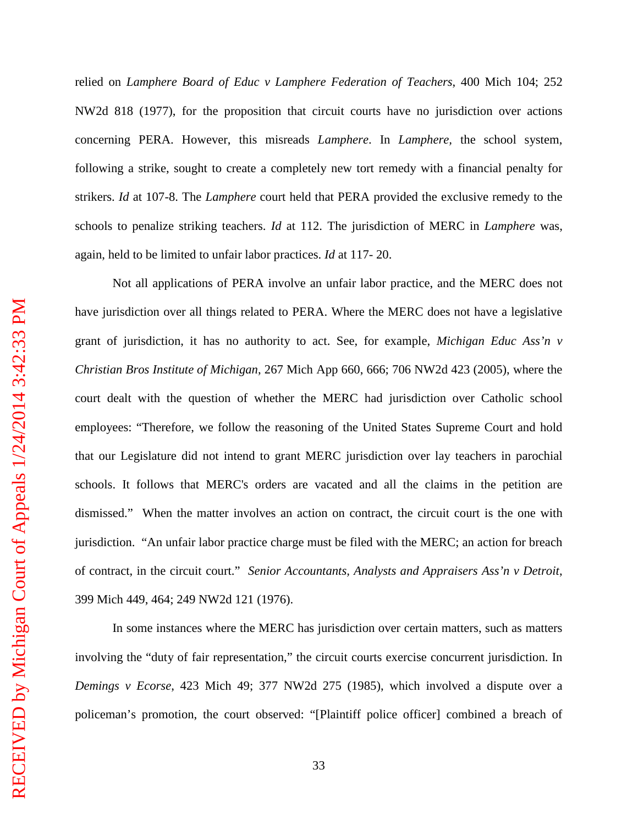relied on *Lamphere Board of Educ v Lamphere Federation of Teachers*, 400 Mich 104; 252 NW2d 818 (1977), for the proposition that circuit courts have no jurisdiction over actions concerning PERA. However, this misreads *Lamphere*. In *Lamphere,* the school system, following a strike, sought to create a completely new tort remedy with a financial penalty for strikers. *Id* at 107-8. The *Lamphere* court held that PERA provided the exclusive remedy to the schools to penalize striking teachers. *Id* at 112. The jurisdiction of MERC in *Lamphere* was, again, held to be limited to unfair labor practices. *Id* at 117- 20.

Not all applications of PERA involve an unfair labor practice, and the MERC does not have jurisdiction over all things related to PERA. Where the MERC does not have a legislative grant of jurisdiction, it has no authority to act. See, for example, *Michigan Educ Ass'n v Christian Bros Institute of Michigan*, 267 Mich App 660, 666; 706 NW2d 423 (2005), where the court dealt with the question of whether the MERC had jurisdiction over Catholic school employees: "Therefore, we follow the reasoning of the United States Supreme Court and hold that our Legislature did not intend to grant MERC jurisdiction over lay teachers in parochial schools. It follows that MERC's orders are vacated and all the claims in the petition are dismissed." When the matter involves an action on contract, the circuit court is the one with jurisdiction. "An unfair labor practice charge must be filed with the MERC; an action for breach of contract, in the circuit court." *Senior Accountants, Analysts and Appraisers Ass'n v Detroit*, 399 Mich 449, 464; 249 NW2d 121 (1976).

In some instances where the MERC has jurisdiction over certain matters, such as matters involving the "duty of fair representation," the circuit courts exercise concurrent jurisdiction. In *Demings v Ecorse*, 423 Mich 49; 377 NW2d 275 (1985), which involved a dispute over a policeman's promotion, the court observed: "[Plaintiff police officer] combined a breach of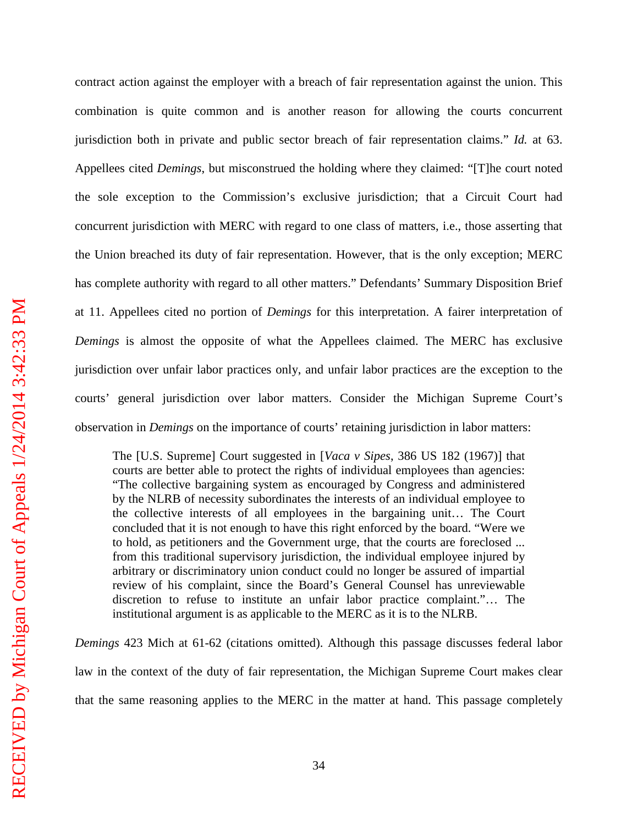contract action against the employer with a breach of fair representation against the union. This combination is quite common and is another reason for allowing the courts concurrent jurisdiction both in private and public sector breach of fair representation claims." *Id.* at 63. Appellees cited *Demings*, but misconstrued the holding where they claimed: "[T]he court noted the sole exception to the Commission's exclusive jurisdiction; that a Circuit Court had concurrent jurisdiction with MERC with regard to one class of matters, i.e., those asserting that the Union breached its duty of fair representation. However, that is the only exception; MERC has complete authority with regard to all other matters." Defendants' Summary Disposition Brief at 11. Appellees cited no portion of *Demings* for this interpretation. A fairer interpretation of *Demings* is almost the opposite of what the Appellees claimed. The MERC has exclusive jurisdiction over unfair labor practices only, and unfair labor practices are the exception to the courts' general jurisdiction over labor matters. Consider the Michigan Supreme Court's observation in *Demings* on the importance of courts' retaining jurisdiction in labor matters:

The [U.S. Supreme] Court suggested in [*Vaca v Sipes*, 386 US 182 (1967)] that courts are better able to protect the rights of individual employees than agencies: "The collective bargaining system as encouraged by Congress and administered by the NLRB of necessity subordinates the interests of an individual employee to the collective interests of all employees in the bargaining unit… The Court concluded that it is not enough to have this right enforced by the board. "Were we to hold, as petitioners and the Government urge, that the courts are foreclosed ... from this traditional supervisory jurisdiction, the individual employee injured by arbitrary or discriminatory union conduct could no longer be assured of impartial review of his complaint, since the Board's General Counsel has unreviewable discretion to refuse to institute an unfair labor practice complaint."… The institutional argument is as applicable to the MERC as it is to the NLRB.

*Demings* 423 Mich at 61-62 (citations omitted). Although this passage discusses federal labor law in the context of the duty of fair representation, the Michigan Supreme Court makes clear that the same reasoning applies to the MERC in the matter at hand. This passage completely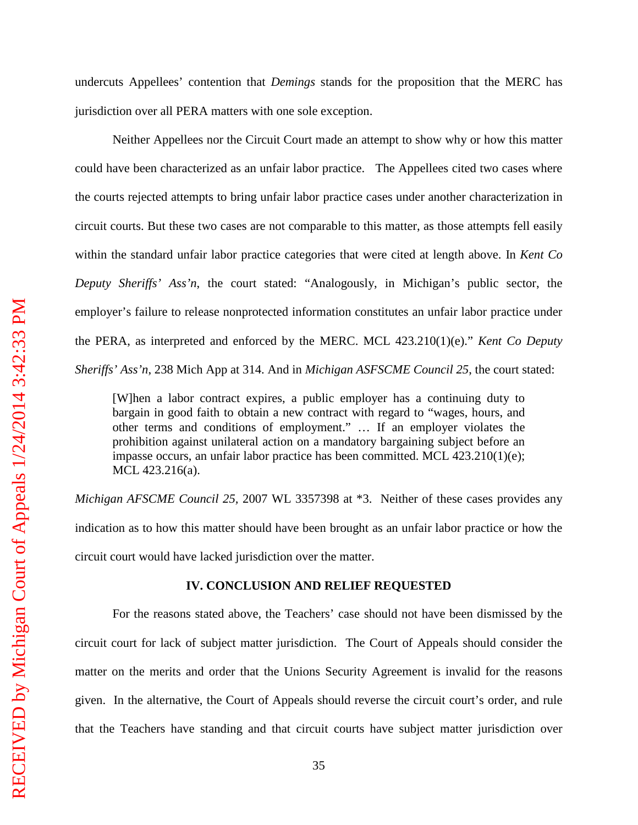undercuts Appellees' contention that *Demings* stands for the proposition that the MERC has jurisdiction over all PERA matters with one sole exception.

Neither Appellees nor the Circuit Court made an attempt to show why or how this matter could have been characterized as an unfair labor practice. The Appellees cited two cases where the courts rejected attempts to bring unfair labor practice cases under another characterization in circuit courts. But these two cases are not comparable to this matter, as those attempts fell easily within the standard unfair labor practice categories that were cited at length above. In *Kent Co Deputy Sheriffs' Ass'n*, the court stated: "Analogously, in Michigan's public sector, the employer's failure to release nonprotected information constitutes an unfair labor practice under the PERA, as interpreted and enforced by the MERC. MCL 423.210(1)(e)." *Kent Co Deputy Sheriffs' Ass'n*, 238 Mich App at 314. And in *Michigan ASFSCME Council 25*, the court stated:

[W]hen a labor contract expires, a public employer has a continuing duty to bargain in good faith to obtain a new contract with regard to "wages, hours, and other terms and conditions of employment." … If an employer violates the prohibition against unilateral action on a mandatory bargaining subject before an impasse occurs, an unfair labor practice has been committed. MCL  $423.210(1)(e)$ ; MCL 423.216(a).

*Michigan AFSCME Council 25,* 2007 WL 3357398 at \*3. Neither of these cases provides any indication as to how this matter should have been brought as an unfair labor practice or how the circuit court would have lacked jurisdiction over the matter.

#### **IV. CONCLUSION AND RELIEF REQUESTED**

For the reasons stated above, the Teachers' case should not have been dismissed by the circuit court for lack of subject matter jurisdiction. The Court of Appeals should consider the matter on the merits and order that the Unions Security Agreement is invalid for the reasons given. In the alternative, the Court of Appeals should reverse the circuit court's order, and rule that the Teachers have standing and that circuit courts have subject matter jurisdiction over